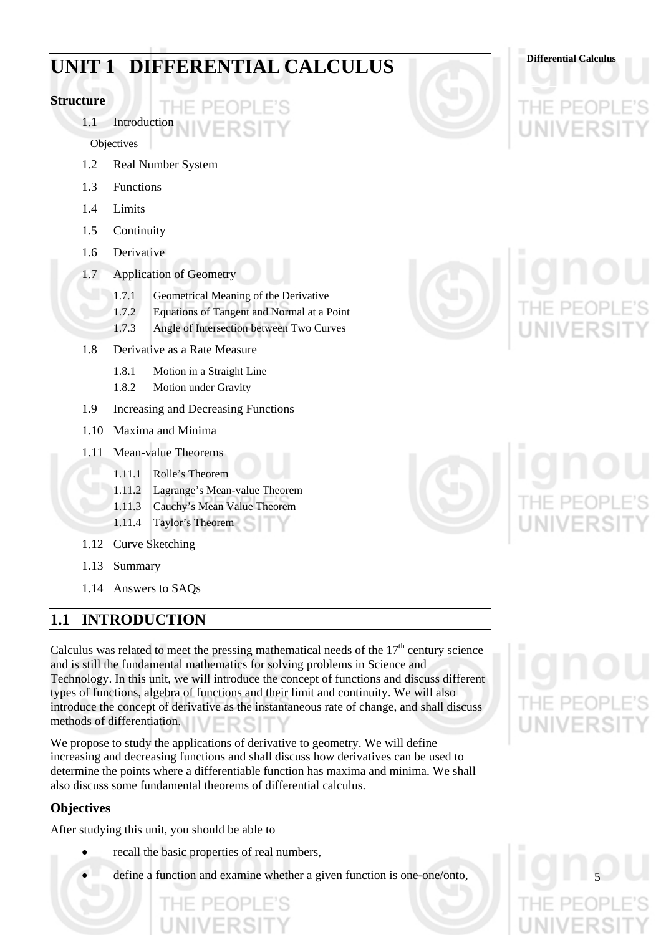# **UNIT 1 DIFFERENTIAL CALCULUS** Differential Calculus

### **Structure**

1.1 Introduction

**Objectives** 

- 1.2 Real Number System
- 1.3 Functions
- 1.4 Limits
- 1.5 Continuity
- 1.6 Derivative
- 1.7 Application of Geometry
	- 1.7.1 Geometrical Meaning of the Derivative
	- 1.7.2 Equations of Tangent and Normal at a Point
	- 1.7.3 Angle of Intersection between Two Curves
- 1.8 Derivative as a Rate Measure
	- 1.8.1 Motion in a Straight Line
	- 1.8.2 Motion under Gravity
- 1.9 Increasing and Decreasing Functions
- 1.10 Maxima and Minima
- 1.11 Mean-value Theorems
	- 1.11.1 Rolle's Theorem
	- 1.11.2 Lagrange's Mean-value Theorem
	- 1.11.3 Cauchy's Mean Value Theorem
	- 1.11.4 Taylor's Theorem
- 1.12 Curve Sketching
- 1.13 Summary
- 1.14 Answers to SAQs

# **1.1 INTRODUCTION**

Calculus was related to meet the pressing mathematical needs of the  $17<sup>th</sup>$  century science and is still the fundamental mathematics for solving problems in Science and Technology. In this unit, we will introduce the concept of functions and discuss different types of functions, algebra of functions and their limit and continuity. We will also introduce the concept of derivative as the instantaneous rate of change, and shall discuss methods of differentiation.

We propose to study the applications of derivative to geometry. We will define increasing and decreasing functions and shall discuss how derivatives can be used to determine the points where a differentiable function has maxima and minima. We shall also discuss some fundamental theorems of differential calculus.

### **Objectives**

After studying this unit, you should be able to

- recall the basic properties of real numbers,
- define a function and examine whether a given function is one-one/onto,







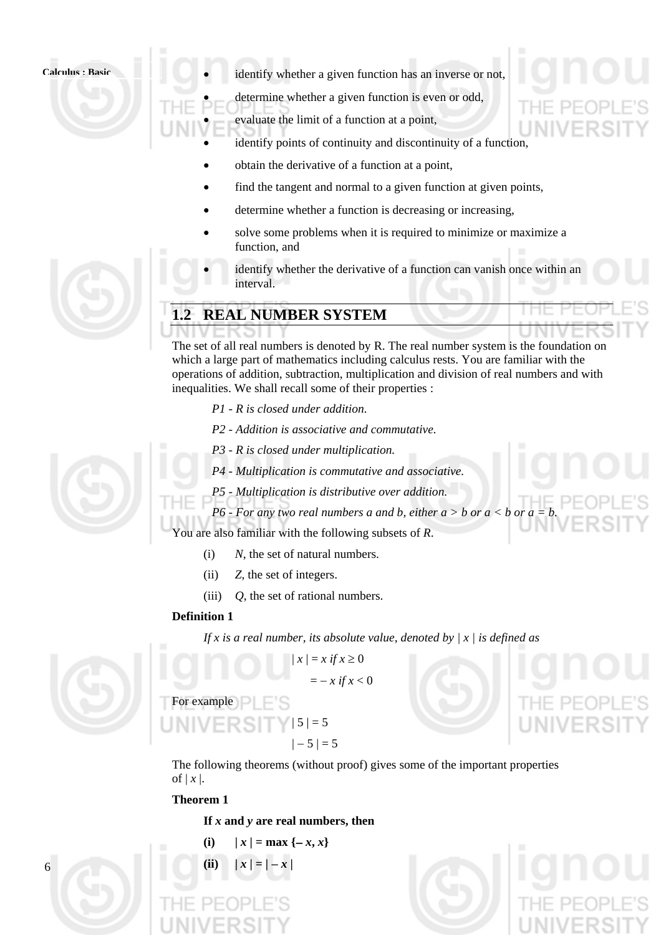- **Calculus : Basic •** identify whether a given function has an inverse or not,
	- determine whether a given function is even or odd,
	- evaluate the limit of a function at a point,
	- identify points of continuity and discontinuity of a function,
	- obtain the derivative of a function at a point,
	- find the tangent and normal to a given function at given points,
	- determine whether a function is decreasing or increasing,
	- solve some problems when it is required to minimize or maximize a function, and
	- identify whether the derivative of a function can vanish once within an interval.

# **1.2 REAL NUMBER SYSTEM**

The set of all real numbers is denoted by R. The real number system is the foundation on which a large part of mathematics including calculus rests. You are familiar with the operations of addition, subtraction, multiplication and division of real numbers and with inequalities. We shall recall some of their properties :

- *P1 R is closed under addition.*
- *P2 Addition is associative and commutative.*
- *P3 R is closed under multiplication.*
- *P4 Multiplication is commutative and associative.*
- *P5 Multiplication is distributive over addition.*

 $|x| = x$  *if*  $x \ge 0$ 

 $P6$  - For any two real numbers a and b, either  $a > b$  or  $a < b$  or a

You are also familiar with the following subsets of *R*.

- (i) *N*, the set of natural numbers.
- (ii) *Z*, the set of integers.
- (iii) *Q*, the set of rational numbers.

#### **Definition 1**

*If x is a real number, its absolute value, denoted by | x | is defined as* 



 $=- x$  *if*  $x < 0$ For example  $| 5 | = 5$  $|-5|$  = 5

The following theorems (without proof) gives some of the important properties of  $|x|$ .

### **Theorem 1**

**If** *x* **and** *y* **are real numbers, then** 

$$
\textcircled{\scriptsize\textrm{S}}
$$

6

 $(i)$   $|x| = max \{-x, x\}$ 

(ii) 
$$
|x| = |-x|
$$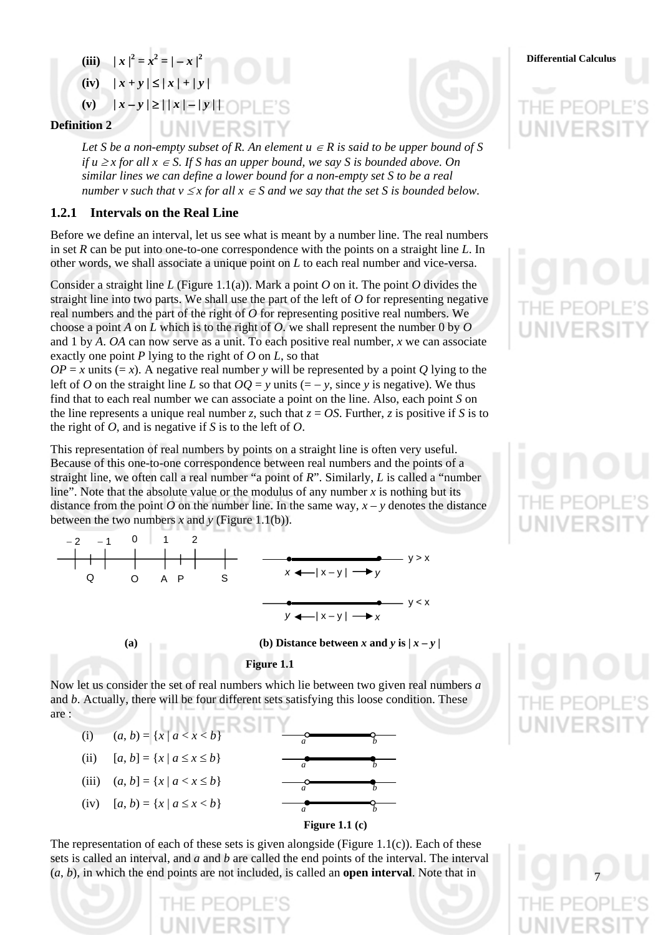(iii) 
$$
|x|^2 = x^2 = |-x|^2
$$

(iv) 
$$
|x + y| \le |x| + |y|
$$

(v) 
$$
|x-y| \ge ||x|-|y||
$$

**NIVERSI** 

### **Definition 2**

Let S be a non-empty subset of R. An element  $u \in R$  is said to be upper bound of S *if u*  $\geq$ *x* for all  $x \in S$ . If S has an upper bound, we say S is bounded above. On *similar lines we can define a lower bound for a non-empty set S to be a real number v such that v*  $\leq x$  *for all*  $x \in S$  *and we say that the set S is bounded below.* 

### **1.2.1 Intervals on the Real Line**

Before we define an interval, let us see what is meant by a number line. The real numbers in set *R* can be put into one-to-one correspondence with the points on a straight line *L*. In other words, we shall associate a unique point on *L* to each real number and vice-versa.

Consider a straight line *L* (Figure 1.1(a)). Mark a point *O* on it. The point *O* divides the straight line into two parts. We shall use the part of the left of *O* for representing negative real numbers and the part of the right of *O* for representing positive real numbers. We choose a point *A* on *L* which is to the right of *O*. we shall represent the number 0 by *O* and 1 by *A*. *OA* can now serve as a unit. To each positive real number, *x* we can associate exactly one point *P* lying to the right of *O* on *L*, so that

 $OP = x$  units (= *x*). A negative real number *y* will be represented by a point *Q* lying to the left of *O* on the straight line *L* so that  $OQ = y$  units (= − *y*, since *y* is negative). We thus find that to each real number we can associate a point on the line. Also, each point *S* on the line represents a unique real number *z*, such that  $z = OS$ . Further, *z* is positive if *S* is to the right of *O*, and is negative if *S* is to the left of *O*.

This representation of real numbers by points on a straight line is often very useful. Because of this one-to-one correspondence between real numbers and the points of a straight line, we often call a real number "a point of *R*". Similarly, *L* is called a "number line". Note that the absolute value or the modulus of any number  $x$  is nothing but its distance from the point  $O$  on the number line. In the same way,  $x - y$  denotes the distance between the two numbers *x* and *y* (Figure 1.1(b)).



(a) (b) Distance between *x* and *y* is  $|x - y|$ 

#### **Figure 1.1**

Now let us consider the set of real numbers which lie between two given real numbers *a* and *b*. Actually, there will be four different sets satisfying this loose condition. These are :



The representation of each of these sets is given alongside (Figure 1.1(c)). Each of these sets is called an interval, and *a* and *b* are called the end points of the interval. The interval (*a*, *b*), in which the end points are not included, is called an **open interval**. Note that in



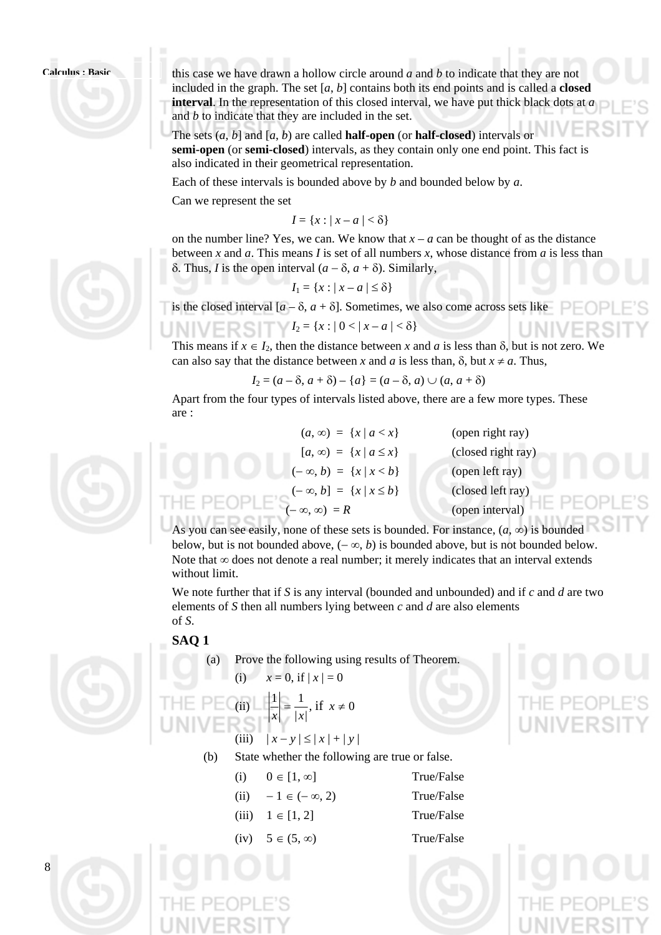#### **Calculus : Basic**

- 
- this case we have drawn a hollow circle around *a* and *b* to indicate that they are not included in the graph. The set  $[a, b]$  contains both its end points and is called a **closed interval**. In the representation of this closed interval, we have put thick black dots at *a* and *b* to indicate that they are included in the set.
- The sets (*a*, *b*] and [*a*, *b*) are called **half-open** (or **half-closed**) intervals or **semi-open** (or **semi-closed**) intervals, as they contain only one end point. This fact is also indicated in their geometrical representation.

Each of these intervals is bounded above by *b* and bounded below by *a*.

Can we represent the set

$$
I = \{x : |x - a| < \delta\}
$$

on the number line? Yes, we can. We know that  $x - a$  can be thought of as the distance between *x* and *a*. This means *I* is set of all numbers *x*, whose distance from *a* is less than δ. Thus, *I* is the open interval (*a* − δ, *a* + δ). Similarly,

$$
I_1 = \{x : |x - a| \le \delta\}
$$

is the closed interval  $[a - \delta, a + \delta]$ . Sometimes, we also come across sets like

$$
|\bigcap_{i=1}^n |U_i| = |\bigcap_{i=1}^n |U_i| = \{x : |0 < |x - a| < \delta\}.
$$

This means if  $x \in I_2$ , then the distance between x and a is less than  $\delta$ , but is not zero. We can also say that the distance between *x* and *a* is less than,  $\delta$ , but  $x \neq a$ . Thus,

$$
I_2 = (a - \delta, a + \delta) - \{a\} = (a - \delta, a) \cup (a, a + \delta)
$$

Apart from the four types of intervals listed above, there are a few more types. These are :



you can see easily, none of these sets is bounded. For instance,  $(a, \infty)$  is bounded below, but is not bounded above,  $(-\infty, b)$  is bounded above, but is not bounded below. Note that  $\infty$  does not denote a real number; it merely indicates that an interval extends without limit.

We note further that if *S* is any interval (bounded and unbounded) and if *c* and *d* are two elements of *S* then all numbers lying between *c* and *d* are also elements of *S*.

### **SAQ 1**



8

(a) Prove the following using results of Theorem.

(i) 
$$
x = 0
$$
, if  $|x| = 0$ 

(ii)  $\frac{1}{|x|} = \frac{1}{|x|}$ , if  $x \neq 0$  $x \mid x$ (iii)  $|x-y| \le |x| + |y|$ 

- (b) State whether the following are true or false.
	- (i)  $0 \in [1, \infty]$  True/False
		- (ii)  $-1 \in (-\infty, 2)$  True/False
	- (iii)  $1 \in [1, 2]$  True/False
	- (iv)  $5 \in (5, \infty)$  True/False
		-







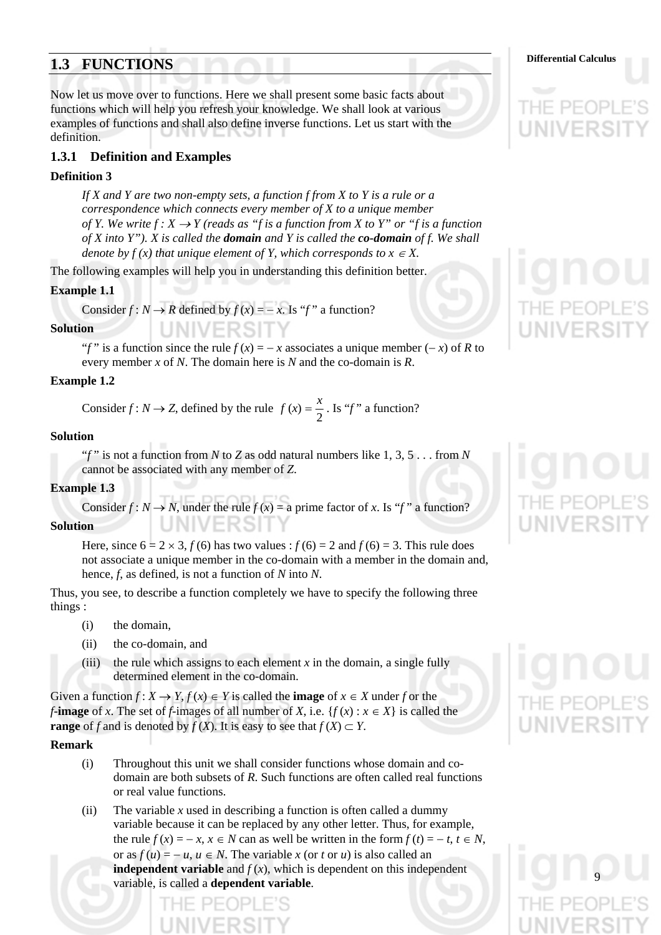# **1.3 FUNCTIONS** Differential Calculus

Now let us move over to functions. Here we shall present some basic facts about functions which will help you refresh your knowledge. We shall look at various examples of functions and shall also define inverse functions. Let us start with the definition.

### **1.3.1 Definition and Examples**

### **Definition 3**

*If X and Y are two non-empty sets, a function f from X to Y is a rule or a correspondence which connects every member of X to a unique member of Y. We write*  $f: X \rightarrow Y$  *(reads as "f is a function from X to Y" or "f is a function of X into Y"). X is called the domain and Y is called the co-domain of f. We shall denote by f (x) that unique element of Y, which corresponds to*  $x \in X$ *.* 

The following examples will help you in understanding this definition better.

#### **Example 1.1**

Consider  $f: N \to R$  defined by  $f(x) = -x$ . Is "*f*" a function?

UNIVERSIT

#### **Solution**

"*f*" is a function since the rule  $f(x) = -x$  associates a unique member (– *x*) of *R* to every member *x* of *N*. The domain here is *N* and the co-domain is *R*.

#### **Example 1.2**

Consider  $f : N \to Z$ , defined by the rule  $f(x) = \frac{x}{2}$ . Is "*f*" a function?

#### **Solution**

"*f*" is not a function from *N* to *Z* as odd natural numbers like 1, 3, 5 . . . from *N* cannot be associated with any member of *Z*.

#### **Example 1.3**

Consider  $f: N \to N$ , under the rule  $f(x) = a$  prime factor of *x*. Is "*f*" a function?

### **Solution**

Here, since  $6 = 2 \times 3$ ,  $f(6)$  has two values :  $f(6) = 2$  and  $f(6) = 3$ . This rule does not associate a unique member in the co-domain with a member in the domain and, hence, *f*, as defined, is not a function of *N* into *N*.

Thus, you see, to describe a function completely we have to specify the following three things :

- (i) the domain,
- (ii) the co-domain, and
- (iii) the rule which assigns to each element  $x$  in the domain, a single fully determined element in the co-domain.

Given a function  $f: X \to Y$ ,  $f(x) \in Y$  is called the **image** of  $x \in X$  under f or the *f*-**image** of *x*. The set of *f*-images of all number of *X*, i.e.  $\{f(x) : x \in X\}$  is called the **range** of *f* and is denoted by  $f(X)$ . It is easy to see that  $f(X) \subset Y$ .

#### **Remark**

- (i) Throughout this unit we shall consider functions whose domain and codomain are both subsets of *R*. Such functions are often called real functions or real value functions.
- (ii) The variable *x* used in describing a function is often called a dummy variable because it can be replaced by any other letter. Thus, for example, the rule  $f(x) = -x$ ,  $x \in N$  can as well be written in the form  $f(t) = -t$ ,  $t \in N$ , or as  $f(u) = -u$ ,  $u \in N$ . The variable *x* (or *t* or *u*) is also called an **independent variable** and  $f(x)$ , which is dependent on this independent variable, is called a **dependent variable**.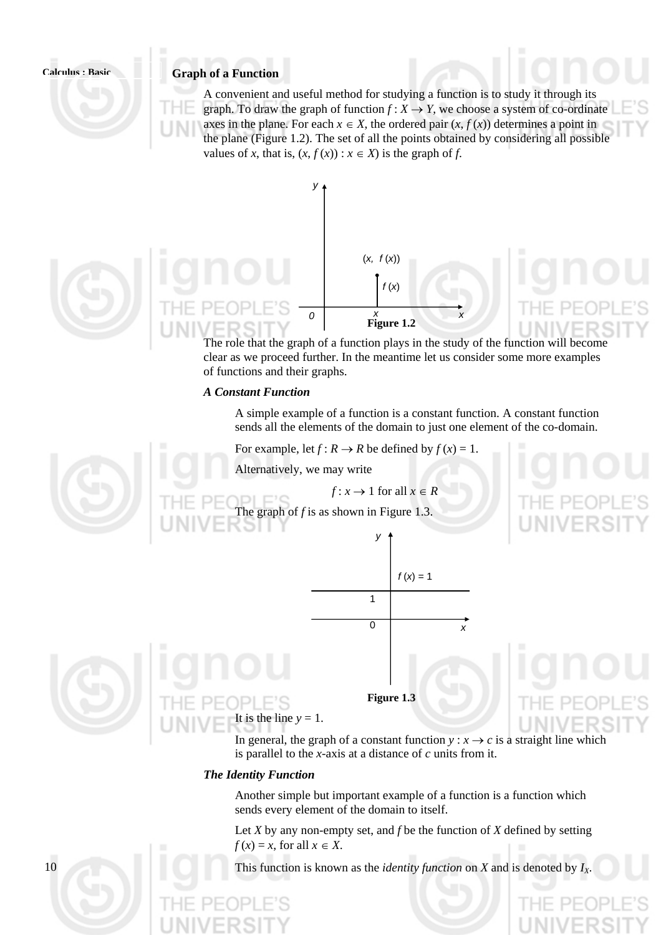#### **Calculus : Basic Graph of a Function**

A convenient and useful method for studying a function is to study it through its graph. To draw the graph of function  $f: X \to Y$ , we choose a system of co-ordinate axes in the plane. For each  $x \in X$ , the ordered pair  $(x, f(x))$  determines a point in the plane (Figure 1.2). The set of all the points obtained by considering all possible values of *x*, that is,  $(x, f(x)) : x \in X$  is the graph of *f*.



The role that the graph of a function plays in the study of the function will become clear as we proceed further. In the meantime let us consider some more examples of functions and their graphs.

#### *A Constant Function*

A simple example of a function is a constant function. A constant function sends all the elements of the domain to just one element of the co-domain.

For example, let  $f: R \to R$  be defined by  $f(x) = 1$ .

Alternatively, we may write

$$
f: x \to 1 \text{ for all } x \in R
$$

*y* 

1

The graph of *f* is as shown in Figure 1.3.

**Figure 1.3** 

In general, the graph of a constant function  $y : x \rightarrow c$  is a straight line which is parallel to the *x*-axis at a distance of *c* units from it.

0 *x* 

 $f(x) = 1$ 

#### *The Identity Function*

It is the line  $y = 1$ .

Another simple but important example of a function is a function which sends every element of the domain to itself.

Let *X* by any non-empty set, and *f* be the function of *X* defined by setting  $f(x) = x$ , for all  $x \in X$ .

This function is known as the *identity function* on *X* and is denoted by *IX*.

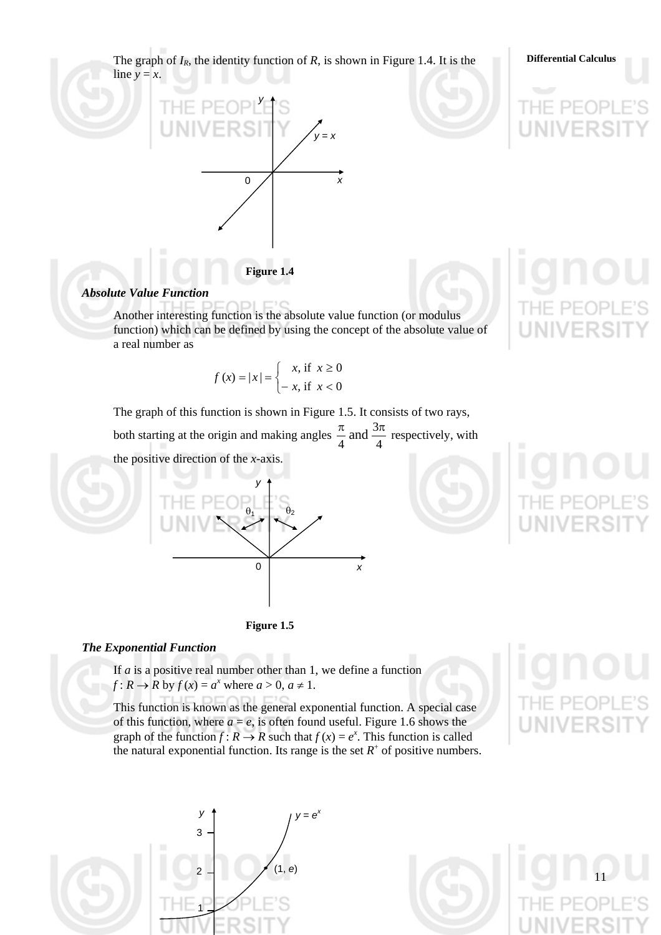

*y*  0 *x y* = *x* 

### **Figure 1.4**

### *Absolute Value Function*

Another interesting function is the absolute value function (or modulus function) which can be defined by using the concept of the absolute value of a real number as

$$
f(x) = |x| = \begin{cases} x, & \text{if } x \ge 0 \\ -x, & \text{if } x < 0 \end{cases}
$$

The graph of this function is shown in Figure 1.5. It consists of two rays,

both starting at the origin and making angles  $\frac{\pi}{4}$  and  $\frac{3\pi}{4}$ 4  $\frac{\pi}{\pi}$  and  $\frac{3\pi}{\pi}$  respectively, with

the positive direction of the *x*-axis.





### *The Exponential Function*

If *a* is a positive real number other than 1, we define a function  $f: R \to R$  by  $f(x) = a^x$  where  $a > 0$ ,  $a \ne 1$ .

This function is known as the general exponential function. A special case of this function, where  $a = e$ , is often found useful. Figure 1.6 shows the graph of the function  $f : R \to R$  such that  $f(x) = e^x$ . This function is called the natural exponential function. Its range is the set  $R^+$  of positive numbers.



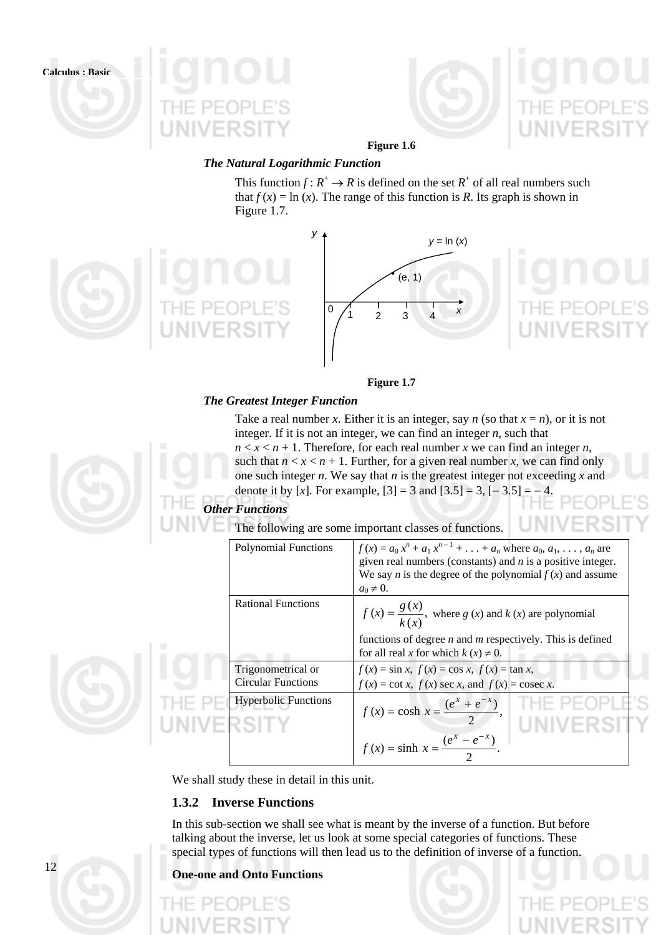**Calculus : Basic**

12





#### **Figure 1.6**

### *The Natural Logarithmic Function*

This function  $f: R^+ \to R$  is defined on the set  $R^+$  of all real numbers such that  $f(x) = \ln(x)$ . The range of this function is *R*. Its graph is shown in Figure 1.7.





#### **Figure 1.7**

#### *The Greatest Integer Function*

Take a real number *x*. Either it is an integer, say *n* (so that  $x = n$ ), or it is not integer. If it is not an integer, we can find an integer *n*, such that  $n < x < n + 1$ . Therefore, for each real number *x* we can find an integer *n*, such that  $n < x < n + 1$ . Further, for a given real number *x*, we can find only one such integer *n*. We say that *n* is the greatest integer not exceeding *x* and denote it by [*x*]. For example,  $[3] = 3$  and  $[3.5] = 3$ ,  $[-3.5] = -4$ .

## *Other Functions*

The following are some important classes of functions.

| <b>Polynomial Functions</b>                     | $f(x) = a_0 x^n + a_1 x^{n-1} + \ldots + a_n$ where $a_0, a_1, \ldots, a_n$ are<br>given real numbers (constants) and $n$ is a positive integer.<br>We say <i>n</i> is the degree of the polynomial $f(x)$ and assume<br>$a_0 \neq 0$ . |
|-------------------------------------------------|-----------------------------------------------------------------------------------------------------------------------------------------------------------------------------------------------------------------------------------------|
| <b>Rational Functions</b>                       | $f(x) = \frac{g(x)}{k(x)}$ , where $g(x)$ and $k(x)$ are polynomial                                                                                                                                                                     |
|                                                 | functions of degree $n$ and $m$ respectively. This is defined<br>for all real x for which $k(x) \neq 0$ .                                                                                                                               |
| Trigonometrical or<br><b>Circular Functions</b> | $f(x) = \sin x, f(x) = \cos x, f(x) = \tan x,$<br>$f(x) = \cot x$ , $f(x) \sec x$ , and $f(x) = \csc x$ .                                                                                                                               |
| <b>Hyperbolic Functions</b>                     | $f(x) = \cosh x = \frac{(e^x + e^{-x})}{2}$ , THE PEOPLE<br>$f(x) = \sinh x = \frac{(e^x - e^{-x})}{2}$ .                                                                                                                               |

We shall study these in detail in this unit.

### **1.3.2 Inverse Functions**

In this sub-section we shall see what is meant by the inverse of a function. But before talking about the inverse, let us look at some special categories of functions. These special types of functions will then lead us to the definition of inverse of a function.

#### **One-one and Onto Functions**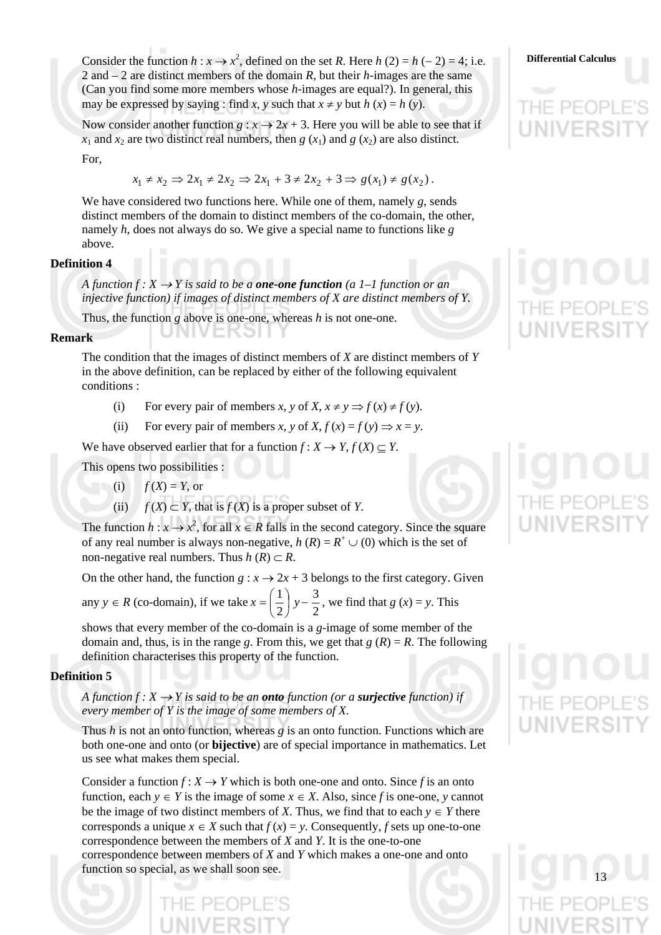Consider the function  $h : x \to x^2$ , defined on the set *R*. Here  $h(2) = h(-2) = 4$ ; i.e. Differential Calculus 2 and – 2 are distinct members of the domain *R*, but their *h*-images are the same (Can you find some more members whose *h*-images are equal?). In general, this may be expressed by saying : find *x*, *y* such that  $x \neq y$  but  $h(x) = h(y)$ .

Now consider another function  $g: x \to 2x + 3$ . Here you will be able to see that if  $x_1$  and  $x_2$  are two distinct real numbers, then *g* ( $x_1$ ) and *g* ( $x_2$ ) are also distinct. For,

 $x_1 \neq x_2 \Rightarrow 2x_1 \neq 2x_2 \Rightarrow 2x_1 + 3 \neq 2x_2 + 3 \Rightarrow g(x_1) \neq g(x_2)$ .

We have considered two functions here. While one of them, namely *g*, sends distinct members of the domain to distinct members of the co-domain, the other, namely *h*, does not always do so. We give a special name to functions like *g* above.

#### **Definition 4**

*A function f :*  $X \rightarrow Y$  *is said to be a <i>one-one function* (a 1–1 function or an *injective function) if images of distinct members of X are distinct members of Y.* 

Thus, the function *g* above is one-one, whereas *h* is not one-one.

#### **Remark**

The condition that the images of distinct members of *X* are distinct members of *Y* in the above definition, can be replaced by either of the following equivalent conditions :

- (i) For every pair of members *x*, *y* of *X*,  $x \neq y \implies f(x) \neq f(y)$ .
- (ii) For every pair of members *x*, *y* of *X*,  $f(x) = f(y) \implies x = y$ .

We have observed earlier that for a function  $f: X \to Y, f(X) \subseteq Y$ .

This opens two possibilities :

- (i)  $f(X) = Y$ , or
- (ii)  $f(X) \subset Y$ , that is  $f(X)$  is a proper subset of *Y*.

The function  $h: x \to x^2$ , for all  $x \in R$  falls in the second category. Since the square of any real number is always non-negative,  $h(R) = R^+ \cup (0)$  which is the set of non-negative real numbers. Thus  $h(R) \subset R$ .

On the other hand, the function  $g: x \to 2x + 3$  belongs to the first category. Given any  $y \in R$  (co-domain), if we take  $x = \left(\frac{1}{2}\right)y - \frac{3}{2}$ 2  $\left(\frac{1}{2}\right)y-$ ⎝  $x = \left(\frac{1}{x}\right)y - \frac{3}{x}$ , we find that  $g(x) = y$ . This

shows that every member of the co-domain is a *g*-image of some member of the domain and, thus, is in the range *g*. From this, we get that  $g(R) = R$ . The following definition characterises this property of the function.

#### **Definition 5**

#### *A function f :*  $X \rightarrow Y$  *is said to be an <i>onto* function (or a *surjective* function) if *every member of Y is the image of some members of X.*

Thus *h* is not an onto function, whereas *g* is an onto function. Functions which are both one-one and onto (or **bijective**) are of special importance in mathematics. Let us see what makes them special.

Consider a function  $f: X \to Y$  which is both one-one and onto. Since f is an onto function, each  $y \in Y$  is the image of some  $x \in X$ . Also, since f is one-one, y cannot be the image of two distinct members of *X*. Thus, we find that to each  $y \in Y$  there corresponds a unique  $x \in X$  such that  $f(x) = y$ . Consequently, *f* sets up one-to-one correspondence between the members of *X* and *Y*. It is the one-to-one correspondence between members of *X* and *Y* which makes a one-one and onto function so special, as we shall soon see.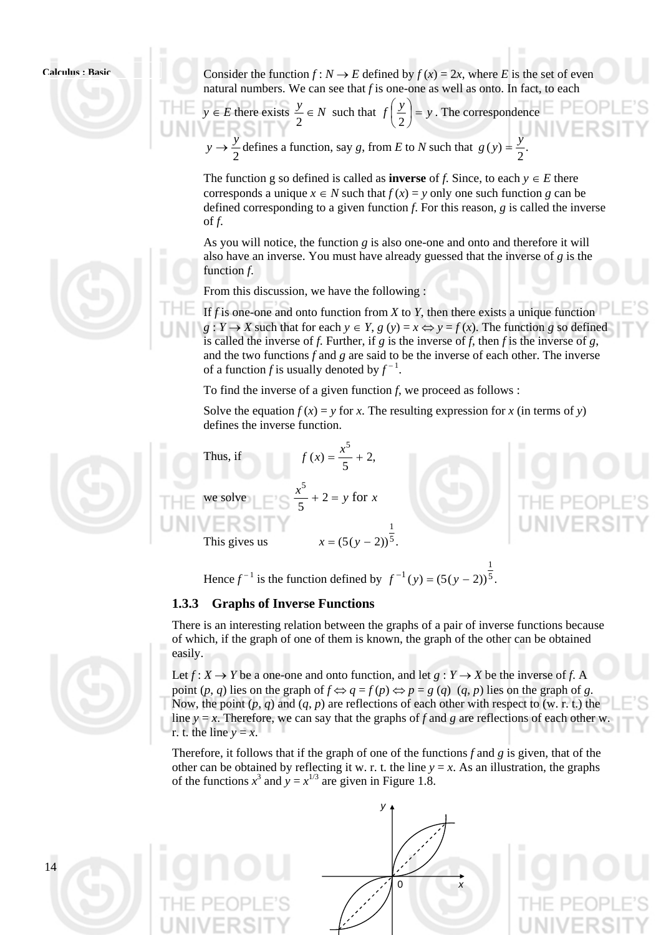

**Calculus : Basic** Consider the function  $f : N \to E$  defined by  $f(x) = 2x$ , where *E* is the set of even natural numbers. We can see that *f* is one-one as well as onto. In fact, to each

> *y*  $\in$  *E* there exists  $\frac{y}{f} \in N$ 2 such that  $f\left(\frac{y}{2}\right) = y$ ⎠  $\left(\frac{y}{2}\right)$ ⎝  $\left(\frac{y}{2}\right)$  = y. The correspondence 2  $y \rightarrow \frac{y}{2}$  defines a function, say *g*, from *E* to *N* such that  $g(y) = \frac{y}{2}$ .

The function g so defined is called as **inverse** of *f*. Since, to each  $y \in E$  there corresponds a unique  $x \in N$  such that  $f(x) = y$  only one such function g can be defined corresponding to a given function *f*. For this reason, *g* is called the inverse of *f*.

As you will notice, the function *g* is also one-one and onto and therefore it will also have an inverse. You must have already guessed that the inverse of *g* is the function *f*.

From this discussion, we have the following :

If  $f$  is one-one and onto function from  $X$  to  $Y$ , then there exists a unique function  $g: Y \to X$  such that for each  $y \in Y$ ,  $g(y) = x \Leftrightarrow y = f(x)$ . The function *g* so defined is called the inverse of *f*. Further, if *g* is the inverse of *f*, then *f* is the inverse of *g*, and the two functions *f* and *g* are said to be the inverse of each other. The inverse of a function *f* is usually denoted by  $f^{-1}$ .

To find the inverse of a given function *f*, we proceed as follows :

5

Solve the equation  $f(x) = y$  for *x*. The resulting expression for *x* (in terms of *y*) defines the inverse function.

1



Thus, if  $f(x) = \frac{x}{5} + 2$ ,  $f(x) = \frac{x^5}{5} +$ we solve  $\frac{x^3}{2} + 2 = y$  for x 5 5  $+2=$ 

This gives us  $x = (5(y - 2))^5$ .

Hence  $f^{-1}$  is the function defined by  $f^{-1}(y) = (5(y - 2))^5$ . 1  $f^{-1}(y) = (5(y -$ 

 $x = (5(y -$ 

#### **1.3.3 Graphs of Inverse Functions**

There is an interesting relation between the graphs of a pair of inverse functions because of which, if the graph of one of them is known, the graph of the other can be obtained easily.

Let  $f: X \to Y$  be a one-one and onto function, and let  $g: Y \to X$  be the inverse of *f*. A point  $(p, q)$  lies on the graph of  $f \Leftrightarrow q = f(p) \Leftrightarrow p = g(q)$   $(q, p)$  lies on the graph of *g*. Now, the point  $(p, q)$  and  $(q, p)$  are reflections of each other with respect to (w. r. t.) the line *y* = *x*. Therefore, we can say that the graphs of *f* and *g* are reflections of each other w. r. t. the line  $y = x$ .

Therefore, it follows that if the graph of one of the functions *f* and *g* is given, that of the other can be obtained by reflecting it w. r. t. the line  $y = x$ . As an illustration, the graphs of the functions  $x^3$  and  $y = x^{1/3}$  are given in Figure 1.8.







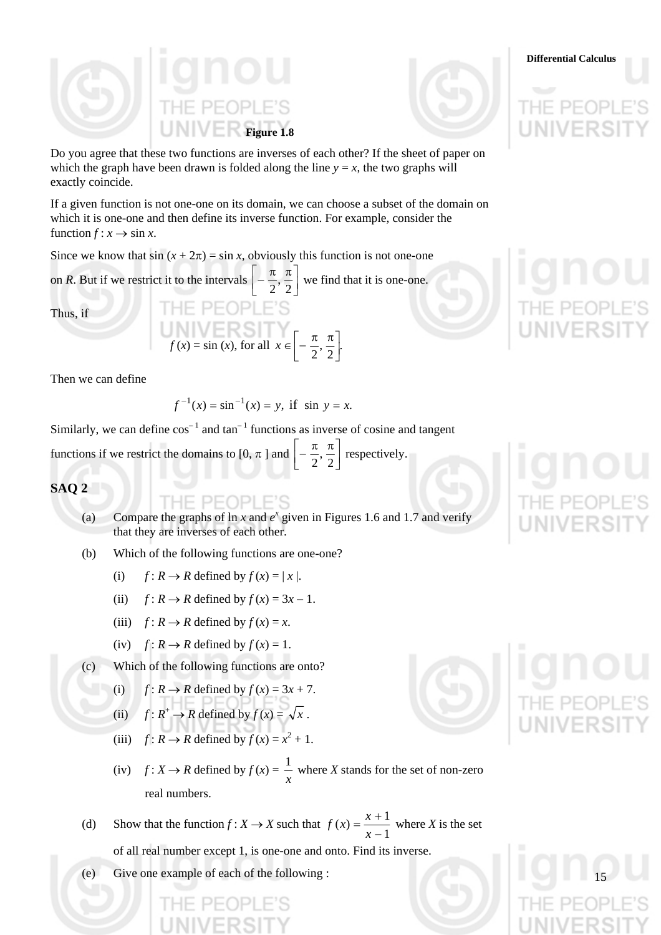

Do you agree that these two functions are inverses of each other? If the sheet of paper on which the graph have been drawn is folded along the line  $y = x$ , the two graphs will exactly coincide.

If a given function is not one-one on its domain, we can choose a subset of the domain on which it is one-one and then define its inverse function. For example, consider the function  $f: x \rightarrow \sin x$ .

Since we know that  $\sin (x + 2\pi) = \sin x$ , obviously this function is not one-one

**Figure 1.8** 

on *R*. But if we restrict it to the intervals  $\left[ -\frac{\pi}{2}, \frac{\pi}{2} \right]$ 2 we find that it is one-one.

 $f(x) = \sin(x)$ , for all  $x \in \left[-\frac{\pi}{2}, \frac{\pi}{2}\right]$ .

Thus, if

Then we can define

$$
f^{-1}(x) = \sin^{-1}(x) = y
$$
, if  $\sin y = x$ .

 $x \in \left[-\frac{\pi}{2}, \frac{\pi}{2}\right]$ 

Similarly, we can define  $\cos^{-1}$  and  $\tan^{-1}$  functions as inverse of cosine and tangent

functions if we restrict the domains to [0,  $\pi$  ] and  $\left[-\frac{\pi}{2},\frac{\pi}{2}\right]$  respectively.

### **SAQ 2**

- (a) Compare the graphs of  $\ln x$  and  $e^x$  given in Figures 1.6 and 1.7 and verify that they are inverses of each other.
- (b) Which of the following functions are one-one?
	- (i)  $f: R \to R$  defined by  $f(x) = |x|$ .
	- (ii)  $f: R \to R$  defined by  $f(x) = 3x 1$ .
	- (iii)  $f: R \to R$  defined by  $f(x) = x$ .
	- (iv)  $f: R \to R$  defined by  $f(x) = 1$ .
- (c) Which of the following functions are onto?
	- (i)  $f: R \to R$  defined by  $f(x) = 3x + 7$ .
	- (ii)  $f: R^+ \to R$  defined by  $f(x) = \sqrt{x}$ .
	- (iii)  $f: R \to R$  defined by  $f(x) = x^2 + 1$ .
	- (iv)  $f: X \to R$  defined by  $f(x) =$ *x* 1 where *X* stands for the set of non-zero real numbers.

(d) Show that the function  $f: X \to X$  such that  $f(x) = \frac{x+1}{x-1}$  where *X* is the set of all real number except 1, is one-one and onto. Find its inverse.

(e) Give one example of each of the following :



#### **Differential Calculus**

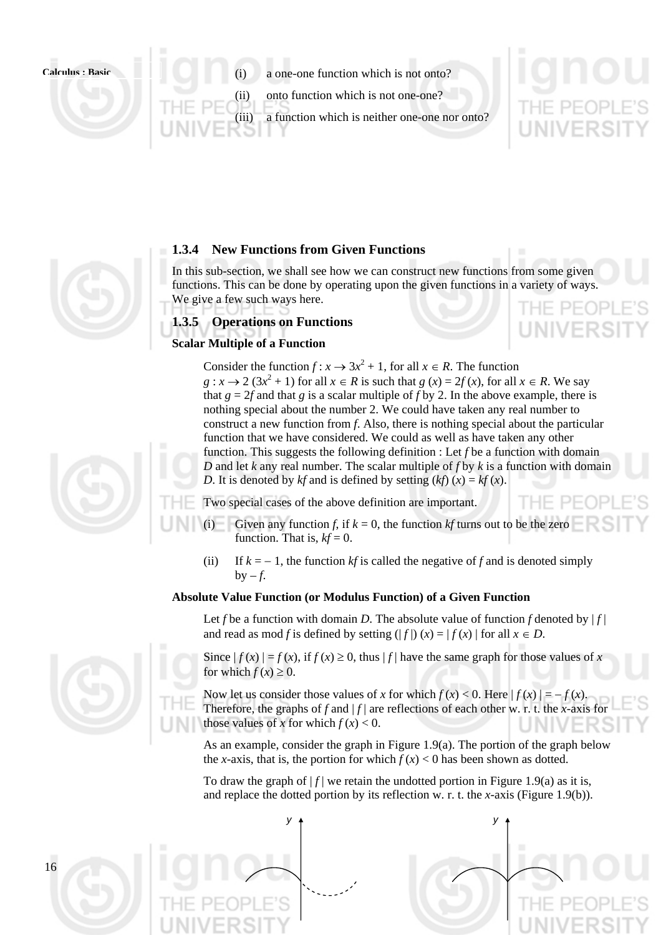



### **1.3.4 New Functions from Given Functions**

In this sub-section, we shall see how we can construct new functions from some given functions. This can be done by operating upon the given functions in a variety of ways. We give a few such ways here.

#### **1.3.5 Operations on Functions**

#### **Scalar Multiple of a Function**

Consider the function  $f: x \to 3x^2 + 1$ , for all  $x \in R$ . The function  $g: x \to 2$  (3 $x^2 + 1$ ) for all  $x \in R$  is such that  $g(x) = 2f(x)$ , for all  $x \in R$ . We say that  $g = 2f$  and that *g* is a scalar multiple of *f* by 2. In the above example, there is nothing special about the number 2. We could have taken any real number to construct a new function from *f*. Also, there is nothing special about the particular function that we have considered. We could as well as have taken any other function. This suggests the following definition : Let *f* be a function with domain *D* and let *k* any real number. The scalar multiple of *f* by *k* is a function with domain *D*. It is denoted by *kf* and is defined by setting  $(kf)(x) = kf(x)$ .

Two special cases of the above definition are important.

- (i) Given any function *f*, if  $k = 0$ , the function  $kf$  turns out to be the zero function. That is,  $kf = 0$ .
	- (ii) If  $k = -1$ , the function  $kf$  is called the negative of f and is denoted simply by  $-f$ .

#### **Absolute Value Function (or Modulus Function) of a Given Function**

Let *f* be a function with domain *D*. The absolute value of function *f* denoted by  $|f|$ and read as mod *f* is defined by setting (| *f* |) (*x*) =  $| f(x) |$  for all  $x \in D$ .

Since  $| f(x) | = f(x)$ , if  $f(x) \ge 0$ , thus  $| f |$  have the same graph for those values of x for which  $f(x) \ge 0$ .

Now let us consider those values of *x* for which  $f(x) < 0$ . Here  $|f(x)| = -f(x)$ . Therefore, the graphs of f and  $|f|$  are reflections of each other w. r. t. the *x*-axis for those values of *x* for which  $f(x) < 0$ .

As an example, consider the graph in Figure 1.9(a). The portion of the graph below the *x*-axis, that is, the portion for which  $f(x) < 0$  has been shown as dotted.

To draw the graph of  $|f|$  we retain the undotted portion in Figure 1.9(a) as it is, and replace the dotted portion by its reflection w. r. t. the *x*-axis (Figure 1.9(b)).



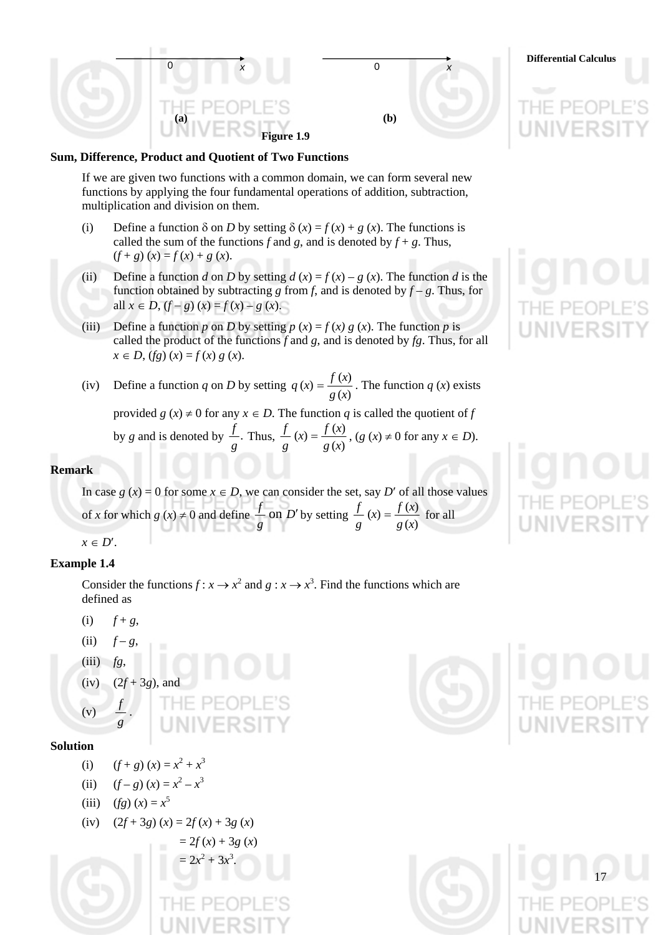

#### **Sum, Difference, Product and Quotient of Two Functions**

If we are given two functions with a common domain, we can form several new functions by applying the four fundamental operations of addition, subtraction, multiplication and division on them.

- (i) Define a function  $\delta$  on *D* by setting  $\delta(x) = f(x) + g(x)$ . The functions is called the sum of the functions  $f$  and  $g$ , and is denoted by  $f + g$ . Thus,  $(f+g)(x) = f(x) + g(x).$
- (ii) Define a function *d* on *D* by setting  $d(x) = f(x) g(x)$ . The function *d* is the function obtained by subtracting  $g$  from  $f$ , and is denoted by  $f - g$ . Thus, for all *x* ∈ *D*,  $(f - g)(x) = f(x) - g(x)$ .
- (iii) Define a function *p* on *D* by setting  $p(x) = f(x)g(x)$ . The function *p* is called the product of the functions  $f$  and  $g$ , and is denoted by  $fg$ . Thus, for all *x* ∈ *D*,  $(fg)(x) = f(x) g(x)$ .
- (iv) Define a function *q* on *D* by setting  $q(x) = \frac{f(x)}{g(x)}$ *xg*  $q(x) = \frac{f(x)}{x}$ . The function  $q(x)$  exists provided  $g(x) \neq 0$  for any  $x \in D$ . The function *q* is called the quotient of *f* by *g* and is denoted by  $\frac{J}{r}$ .  $\frac{f}{g}$ . Thus,  $\frac{f}{g}(x) = \frac{f(x)}{g(x)}$ *xg*  $f(x) = \frac{f(x)}{f(x)}$ *g*  $f(x) = \frac{f(x)}{g(x)}$ ,  $(g(x) \neq 0$  for any  $x \in D$ ).

#### **Remark**

In case  $g(x) = 0$  for some  $x \in D$ , we can consider the set, say *D'* of all those values of *x* for which  $g(x) \neq 0$  and define  $\frac{1}{x}$  on *D*  $\frac{f}{g}$  on *D'* by setting  $\frac{f}{g}(x) = \frac{f(x)}{g(x)}$ *xg*  $f(x) = \frac{f(x)}{f(x)}$ *g*  $f(x) = \frac{f(x)}{x}$  for all *x* ∈ *D*′.

### **Example 1.4**

Consider the functions  $f: x \to x^2$  and  $g: x \to x^3$ . Find the functions which are defined as

- (i)  $f + g$ ,
- (ii) *f g*,
- $(iii)$

 $(v)$ 

(iv) 
$$
(2f + 3g)
$$
, and

*g*

*f* .

### **Solution**

- (i)  $(f+g)(x) = x^2 + x^3$
- (ii)  $(f g)(x) = x^2 x^3$
- (iii)  $(fg)(x) = x^5$
- (iv)  $(2f + 3g)(x) = 2f(x) + 3g(x)$

$$
= 2f(x) + 3g(x)
$$

$$
= 2x2 + 3x3.
$$
  
THE PEOPLE



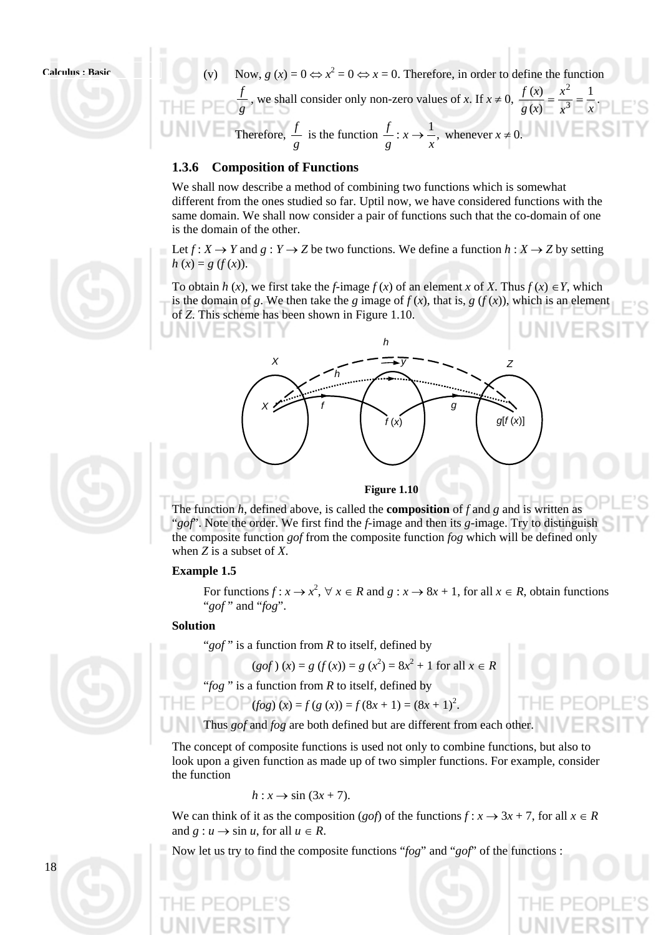

(v) Now,  $g(x) = 0 \Leftrightarrow x^2 = 0 \Leftrightarrow x = 0$ . Therefore, in order to define the function *g*  $\frac{f}{x}$ , we shall consider only non-zero values of *x*. If  $x \neq 0$ ,  $x^3 - x$ *x xg*  $f(x)$   $x^2$  1  $(x)$  $(x)$ 3 2  $=\frac{x}{2}=\frac{1}{2}$ . Therefore, *g*  $\frac{f}{x}$  is the function  $\frac{f}{x}$ :  $x \to \frac{1}{x}$ , *x x g*  $f(x) = \frac{1}{x}$ , whenever  $x \neq 0$ .

### **1.3.6 Composition of Functions**

We shall now describe a method of combining two functions which is somewhat different from the ones studied so far. Uptil now, we have considered functions with the same domain. We shall now consider a pair of functions such that the co-domain of one is the domain of the other.

Let  $f: X \to Y$  and  $g: Y \to Z$  be two functions. We define a function  $h: X \to Z$  by setting  $h(x) = g(f(x)).$ 

To obtain *h* (*x*), we first take the *f*-image  $f(x)$  of an element *x* of *X*. Thus  $f(x) \in Y$ , which is the domain of *g*. We then take the *g* image of  $f(x)$ , that is,  $g(f(x))$ , which is an element of *Z*. This scheme has been shown in Figure 1.10.



#### **Figure 1.10**

The function *h*, defined above, is called the **composition** of *f* and *g* and is written as "*gof*". Note the order. We first find the *f*-image and then its *g*-image. Try to distinguish the composite function *gof* from the composite function *fog* which will be defined only when *Z* is a subset of *X*.

#### **Example 1.5**

For functions  $f: x \to x^2$ ,  $\forall x \in R$  and  $g: x \to 8x + 1$ , for all  $x \in R$ , obtain functions "*gof* " and "*fog*".

#### **Solution**

"*gof*" is a function from *R* to itself, defined by

$$
(gof) (x) = g (f(x)) = g (x2) = 8x2 + 1 for all x \in R
$$

"*fog* " is a function from *R* to itself, defined by

$$
f(x) = (f \circ g)(x) = f(g(x)) = f(8x + 1) = (8x + 1)^2.
$$

Thus *gof* and *fog* are both defined but are different from each other.

The concept of composite functions is used not only to combine functions, but also to look upon a given function as made up of two simpler functions. For example, consider the function

$$
h: x \to \sin(3x + 7).
$$

We can think of it as the composition (*gof*) of the functions  $f: x \to 3x + 7$ , for all  $x \in R$ and  $g: u \to \sin u$ , for all  $u \in R$ .

Now let us try to find the composite functions "*fog*" and "*gof*" of the functions :





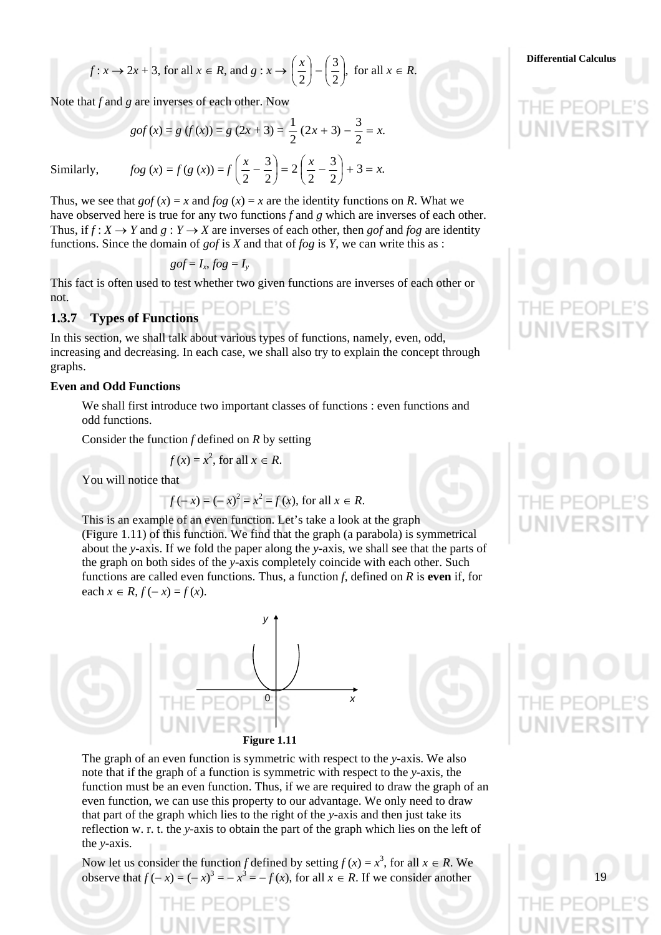$$
f: x \to 2x + 3
$$
, for all  $x \in R$ , and  $g: x \to \left(\frac{x}{2}\right) - \left(\frac{3}{2}\right)$ , for all  $x \in R$ .

Note that *f* and *g* are inverses of each other. Now

$$
gof(x) = g(f(x)) = g(2x + 3) = \frac{1}{2}(2x + 3) - \frac{3}{2} = x.
$$

 $Similarly,$ 

$$
fog(x) = f(g(x)) = f\left(\frac{x}{2} - \frac{3}{2}\right) = 2\left(\frac{x}{2} - \frac{3}{2}\right) + 3 = x
$$

Thus, we see that  $gof(x) = x$  and  $fog(x) = x$  are the identity functions on *R*. What we have observed here is true for any two functions *f* and *g* which are inverses of each other. Thus, if  $f: X \to Y$  and  $g: Y \to X$  are inverses of each other, then *gof* and *fog* are identity functions. Since the domain of *gof* is *X* and that of *fog* is *Y*, we can write this as :

$$
gof = I_x, fog = I_y
$$

This fact is often used to test whether two given functions are inverses of each other or not.

### **1.3.7 Types of Functions**

In this section, we shall talk about various types of functions, namely, even, odd, increasing and decreasing. In each case, we shall also try to explain the concept through graphs.

#### **Even and Odd Functions**

We shall first introduce two important classes of functions : even functions and odd functions.

Consider the function *f* defined on *R* by setting

$$
f(x) = x^2, \text{ for all } x \in R.
$$

You will notice that

$$
f(-x) = (-x)^2 = x^2 = f(x), \text{ for all } x \in R.
$$

This is an example of an even function. Let's take a look at the graph (Figure 1.11) of this function. We find that the graph (a parabola) is symmetrical about the *y*-axis. If we fold the paper along the *y*-axis, we shall see that the parts of the graph on both sides of the *y*-axis completely coincide with each other. Such functions are called even functions. Thus, a function *f*, defined on *R* is **even** if, for each *x* ∈ *R*,  $f(-x) = f(x)$ .





The graph of an even function is symmetric with respect to the *y*-axis. We also note that if the graph of a function is symmetric with respect to the *y*-axis, the function must be an even function. Thus, if we are required to draw the graph of an even function, we can use this property to our advantage. We only need to draw that part of the graph which lies to the right of the *y*-axis and then just take its reflection w. r. t. the *y*-axis to obtain the part of the graph which lies on the left of the *y*-axis.

Now let us consider the function *f* defined by setting  $f(x) = x^3$ , for all  $x \in R$ . We observe that  $f(-x) = (-x)^3 = -x^3 = -f(x)$ , for all  $x \in R$ . If we consider another



**Differential Calculus**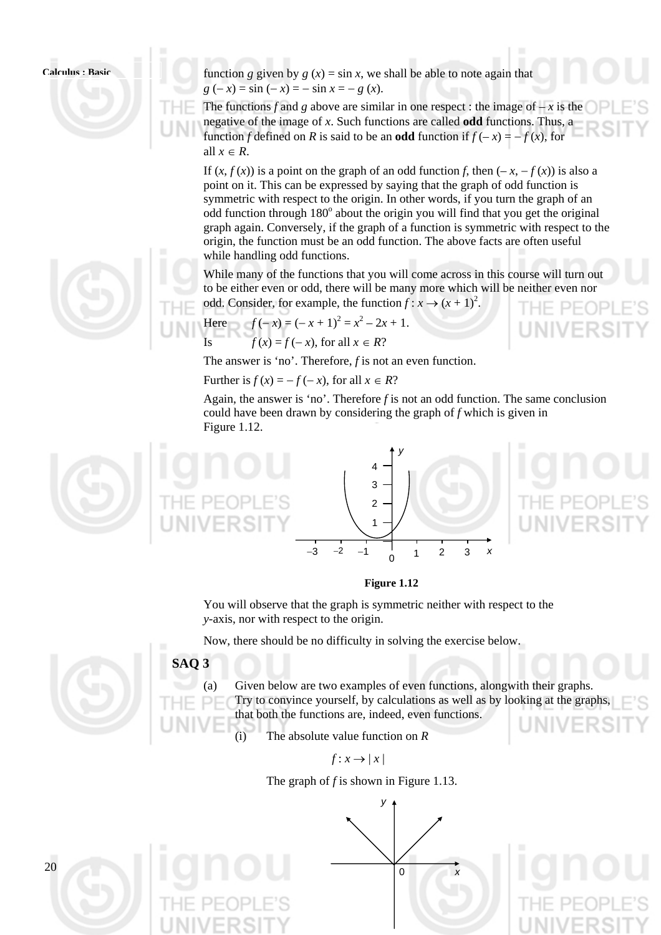#### **Calculus : Basic**



function *g* given by  $g(x) = \sin x$ , we shall be able to note again that  $g(-x) = \sin(-x) = -\sin x = -g(x)$ .

The functions *f* and *g* above are similar in one respect : the image of  $-x$  is the negative of the image of *x*. Such functions are called **odd** functions. Thus, a function *f* defined on *R* is said to be an **odd** function if  $f(-x) = -f(x)$ , for all  $x \in R$ .

If  $(x, f(x))$  is a point on the graph of an odd function *f*, then  $(-x, -f(x))$  is also a point on it. This can be expressed by saying that the graph of odd function is symmetric with respect to the origin. In other words, if you turn the graph of an odd function through 180° about the origin you will find that you get the original graph again. Conversely, if the graph of a function is symmetric with respect to the origin, the function must be an odd function. The above facts are often useful while handling odd functions.

While many of the functions that you will come across in this course will turn out to be either even or odd, there will be many more which will be neither even nor odd. Consider, for example, the function  $f: x \to (x + 1)^2$ .

Here 
$$
f(-x) = (-x+1)^2 = x^2 - 2x + 1
$$
.

Is 
$$
f(x) = f(-x)
$$
, for all  $x \in R$ ?

The answer is 'no'. Therefore, *f* is not an even function.

Further is  $f(x) = -f(-x)$ , for all  $x \in R$ ?

Again, the answer is 'no'. Therefore *f* is not an odd function. The same conclusion could have been drawn by considering the graph of *f* which is given in Figure 1.12.



#### **Figure 1.12**

You will observe that the graph is symmetric neither with respect to the *y*-axis, nor with respect to the origin.

Now, there should be no difficulty in solving the exercise below.

#### **SAQ 3**

(a) Given below are two examples of even functions, alongwith their graphs.

Try to convince yourself, by calculations as well as by looking at the graphs, that both the functions are, indeed, even functions.

(i) The absolute value function on *R*

 $f: x \rightarrow |x|$ 

The graph of *f* is shown in Figure 1.13.



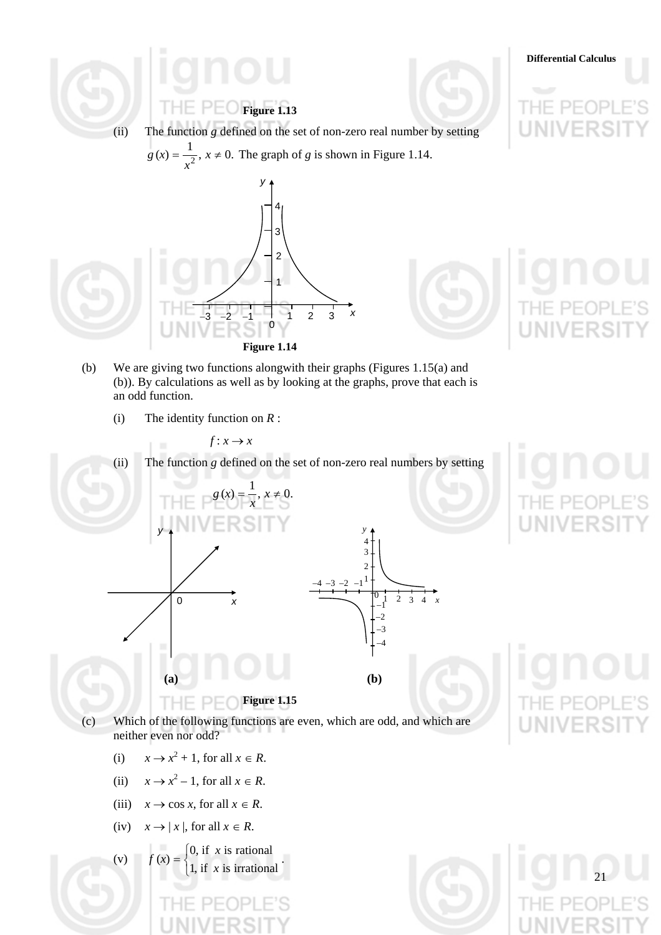

**Figure 1.13** 

(ii) The function *g* defined on the set of non-zero real number by setting

 $(x) = \frac{1}{x^2}, x \neq 0.$  $g(x) = \frac{1}{x}$ ,  $x \ne 0$ . The graph of *g* is shown in Figure 1.14.



**Differential Calculus**

- (b) We are giving two functions alongwith their graphs (Figures 1.15(a) and (b)). By calculations as well as by looking at the graphs, prove that each is an odd function.
	- (i) The identity function on *R* :

 $f: x \rightarrow x$ 

(ii) The function *g* defined on the set of non-zero real numbers by setting



(c) Which of the following functions are even, which are odd, and which are

21

- (i)  $x \to x^2 + 1$ , for all  $x \in R$ .
- (ii)  $x \to x^2 1$ , for all  $x \in R$ .

neither even nor odd?

- (iii)  $x \to \cos x$ , for all  $x \in R$ .
- (iv)  $x \rightarrow |x|$ , for all  $x \in R$ .

(v) 
$$
f(x) = \begin{cases} 0, & \text{if } x \text{ is rational} \\ 1, & \text{if } x \text{ is irrational} \end{cases}.
$$

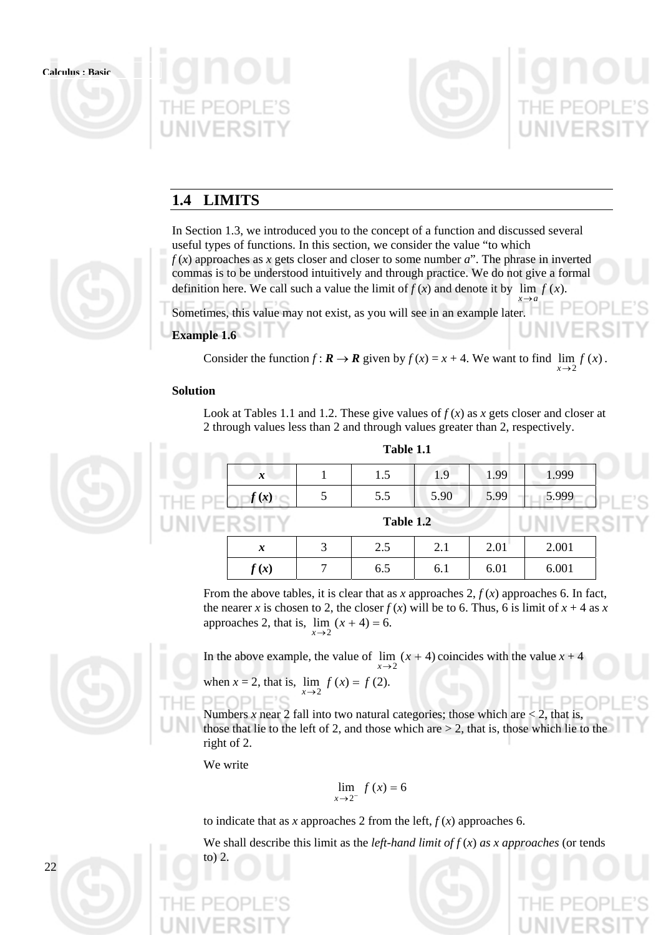







# **1.4 LIMITS**

In Section 1.3, we introduced you to the concept of a function and discussed several useful types of functions. In this section, we consider the value "to which  $f(x)$  approaches as *x* gets closer and closer to some number  $a$ ". The phrase in inverted commas is to be understood intuitively and through practice. We do not give a formal definition here. We call such a value the limit of  $f(x)$  and denote it by  $\lim_{x\to a} f(x)$ .

Sometimes, this value may not exist, as you will see in an example later. **Example 1.6** 

Consider the function  $f : \mathbf{R} \to \mathbf{R}$  given by  $f(x) = x + 4$ . We want to find  $\lim_{x \to 2} f(x)$ .

#### **Solution**

Look at Tables 1.1 and 1.2. These give values of  $f(x)$  as x gets closer and closer at 2 through values less than 2 and through values greater than 2, respectively.

|        |                  |   | Table 1.1 |      | п    |       |
|--------|------------------|---|-----------|------|------|-------|
|        | $\boldsymbol{x}$ |   | 1.5       | 1.9  | 1.99 | 1.999 |
|        | f(x)             |   | 5.5       | 5.90 | 5.99 | 5.999 |
| $\sim$ |                  |   | Table 1.2 |      |      |       |
|        | $\boldsymbol{x}$ | 3 | 2.5       | 2.1  | 2.01 | 2.001 |
|        | f(x)             | ⇁ | 6.5       | 6.1  | 6.01 | 6.001 |

From the above tables, it is clear that as *x* approaches 2,  $f(x)$  approaches 6. In fact, the nearer *x* is chosen to 2, the closer  $f(x)$  will be to 6. Thus, 6 is limit of  $x + 4$  as *x* approaches 2, that is,  $\lim_{x \to 2} (x + 4) = 6$ .



22

In the above example, the value of  $\lim_{x\to 2} (x+4)$  coincides with the value  $x+4$  $x\rightarrow 2$ 

when 
$$
x = 2
$$
, that is,  $\lim_{x \to 2} f(x) = f(2)$ .

Numbers *x* near 2 fall into two natural categories; those which are  $<$  2, that is, those that lie to the left of 2, and those which are  $> 2$ , that is, those which lie to the right of 2.

We write

$$
\lim_{x \to 2^{-}} f(x) = 6
$$

to indicate that as *x* approaches 2 from the left,  $f(x)$  approaches 6.

We shall describe this limit as the *left-hand limit of*  $f(x)$  *as*  $x$  *approaches* (or tends to) 2.

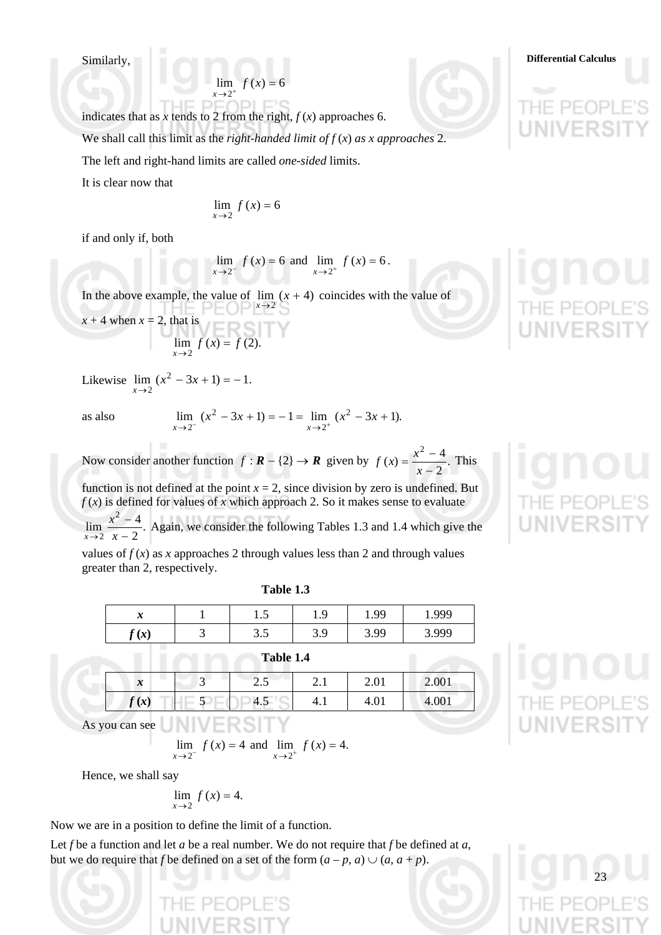$$
\lim_{x \to 2^+} f(x) = 6
$$

indicates that as *x* tends to 2 from the right,  $f(x)$  approaches 6. We shall call this limit as the *right-handed limit of f* (*x*) *as x approaches* 2. The left and right-hand limits are called *one-sided* limits. It is clear now that

$$
\lim_{x \to 2} f(x) = 6
$$

if and only if, both

$$
\lim_{x \to 2^{-}} f(x) = 6 \text{ and } \lim_{x \to 2^{+}} f(x) = 6.
$$

In the above example, the value of  $\lim_{x\to 2} (x+4)$  coincides with the value of  $x \rightarrow 2$ 

$$
x + 4
$$
 when  $x = 2$ , that is  
\n
$$
\lim_{x \to 2} f(x) = f(2).
$$

Likewise  $\lim_{x \to 2} (x^2 - 3x + 1) = -1.$ 

 $x \rightarrow 2$ 

as also 
$$
\lim_{x \to 2^-} (x^2 - 3x + 1) = -1 = \lim_{x \to 2^+} (x^2 - 3x + 1).
$$

Now consider another function  $f : \mathbf{R} - \{2\} \to \mathbf{R}$  given by  $f(x) = \frac{x^2 - 4}{x - 2}$ .  $f(x) = \frac{x^2 - 4}{x - 2}$ . This

function is not defined at the point  $x = 2$ , since division by zero is undefined. But  $f(x)$  is defined for values of x which approach 2. So it makes sense to evaluate

 $\lim_{x \to 2} \frac{x^2 - 4}{x - 2}.$  $2 x \rightarrow$  2  $\bar{x}$ *x* Again, we consider the following Tables 1.3 and 1.4 which give the

**Table 1.3** 

values of  $f(x)$  as *x* approaches 2 through values less than 2 and through values greater than 2, respectively.

| $\boldsymbol{x}$                                                                         |   | 1.5 | 1.9 | 1.99 | 1.999 |  |
|------------------------------------------------------------------------------------------|---|-----|-----|------|-------|--|
| f(x)                                                                                     | 3 | 3.5 | 3.9 | 3.99 | 3.999 |  |
| Table 1.4                                                                                |   |     |     |      |       |  |
| $\boldsymbol{x}$                                                                         | 3 | 2.5 | 2.1 | 2.01 | 2.001 |  |
| f(x)                                                                                     |   | 4.5 | 4.1 | 4.01 | 4.001 |  |
| As you can see                                                                           |   |     |     |      |       |  |
| $\lim_{x \to 2^{-}} f(x) = 4$ and $\lim_{x \to 2^{+}} f(x) = 4$ .<br>$x \rightarrow 2^-$ |   |     |     |      |       |  |

Hence, we shall say

$$
\lim_{x \to 2} f(x) = 4.
$$

Now we are in a position to define the limit of a function.

Let *f* be a function and let *a* be a real number. We do not require that *f* be defined at *a*, but we do require that *f* be defined on a set of the form  $(a - p, a) \cup (a, a + p)$ .

Similarly,  
\n
$$
\lim_{x \to 2^+} f(x) = 6
$$
\nindicates that as *x* tends to 2 from the right,  $f(x)$  approaches 6.  
\nWe shall call this limit as the right-handed limit of  $f(x)$  as *x* approaches 2.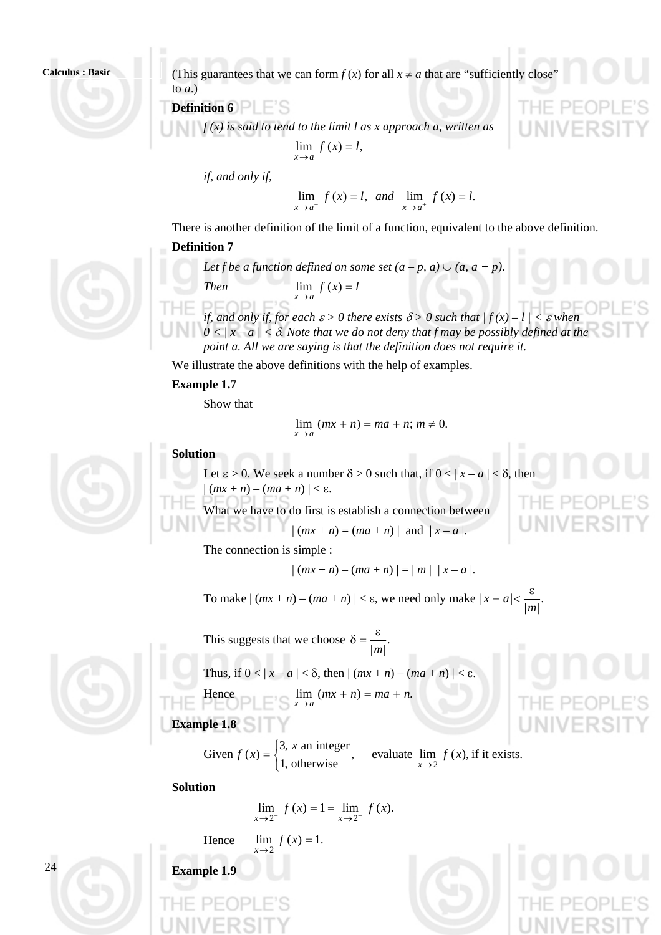**Calculus : Basic** (This guarantees that we can form  $f(x)$  for all  $x \neq a$  that are "sufficiently close" to *a*.)

**Definition 6** 

*f (x) is said to tend to the limit l as x approach a, written as* 

$$
\lim_{x \to a} f(x) = l,
$$

*if, and only if,* 

$$
\lim_{x \to a^{-}} f(x) = l, \text{ and } \lim_{x \to a^{+}} f(x) = l.
$$

There is another definition of the limit of a function, equivalent to the above definition.

#### **Definition 7**

*Let f be a function defined on some set*  $(a - p, a) \cup (a, a + p)$ *.* 

*Then*  $\lim_{x \to a} f(x) = l$ 

*if, and only if, for each*  $\varepsilon > 0$  *there exists*  $\delta > 0$  *such that*  $|f(x) - l| < \varepsilon$  *when*  $0 < |x - a| < \delta$ . Note that we do not deny that f may be possibly defined at the *point a. All we are saying is that the definition does not require it.* 

We illustrate the above definitions with the help of examples.

#### **Example 1.7**

Show that

$$
\lim_{x \to a} (mx + n) = ma + n; m \neq 0.
$$

**Solution** 

Let  $\varepsilon > 0$ . We seek a number  $\delta > 0$  such that, if  $0 < |x - a| < \delta$ , then  $|(mx+n)-(ma+n)| < \varepsilon$ .

What we have to do first is establish a connection between  $|(mx+n) = (ma+n)|$  and  $|x-a|$ .

The connection is simple :

$$
|(mx+n)-(ma+n)|=|m| |x-a|.
$$

To make  $|(mx+n)-(ma+n)| < \varepsilon$ , we need only make  $|x-a| < \frac{\varepsilon}{|m|}$ .

This suggests that we choose  $\delta = \frac{\varepsilon}{|m|}$ .

Thus, if  $0 < |x - a| < \delta$ , then  $|(mx + n) - (ma + n)| < \epsilon$ .

Hence 
$$
\lim_{x \to a} (mx + n) = ma + n.
$$

**Example 1.8** 

Given  $f(x) = \begin{cases} 5, & \text{if } x \neq 0 \\ 1, & \text{otherwise} \end{cases}$ , evaluate  $\lim_{x \to \infty} f(x)$ , if it exists.  $\overline{a}$  $f(x) = \begin{cases} 3, x \text{ an integer} \\ 1, \text{ otherwise} \end{cases}$ , evaluate  $\lim_{x \to 2} f(x)$ ,

**Solution** 

$$
\lim_{x \to 2^{-}} f(x) = 1 = \lim_{x \to 2^{+}} f(x).
$$

Hence  $\lim_{x \to 2} f(x) = 1$ .

**Example 1.9** 











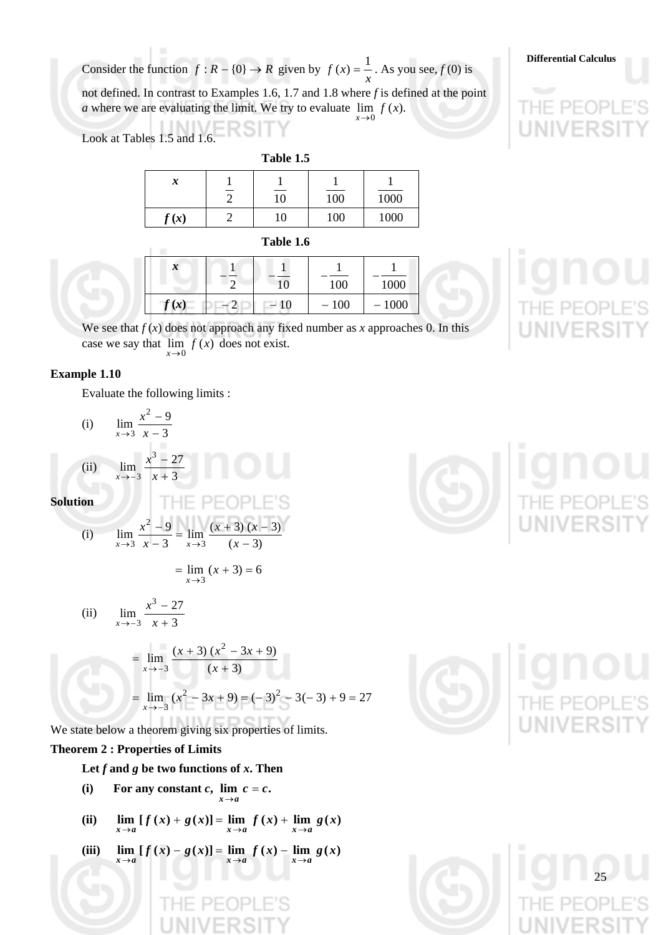Consider the function  $f : R - \{0\} \rightarrow R$  given by *x*  $f(x) = \frac{1}{x}$ . As you see,  $f(0)$  is

not defined. In contrast to Examples 1.6, 1.7 and 1.8 where *f* is defined at the point *a* where we are evaluating the limit. We try to evaluate  $\lim_{x\to 0} f(x)$ .

Look at Tables 1.5 and 1.6.

| Table 1.5 |  |    |     |      |  |
|-----------|--|----|-----|------|--|
| x         |  |    |     |      |  |
|           |  | 10 | 100 | 1000 |  |
| (x)       |  | 10 | 100 | 1000 |  |

| Table 1.6 |  |
|-----------|--|
|-----------|--|

| x    | 10 | 100    | 1000    |
|------|----|--------|---------|
| f(x) | 10 | $-100$ | $-1000$ |

We see that  $f(x)$  does not approach any fixed number as x approaches 0. In this case we say that  $\lim_{x\to 0} f(x)$  does not exist.  $x\rightarrow 0$ 

#### **Example 1.10**

Evaluate the following limits :

(i) 
$$
\lim_{x \to 3} \frac{x^2 - 9}{x - 3}
$$
  
(ii) 
$$
\lim_{x \to -3} \frac{x^3 - 27}{x + 3}
$$

**Solution** 

(i)

\n
$$
\lim_{x \to 3} \frac{x^2 - 9}{x - 3} = \lim_{x \to 3} \frac{(x + 3)(x - 3)}{(x - 3)}
$$
\n
$$
= \lim_{x \to 3} (x + 3) = 6
$$

(ii) 
$$
\lim_{x \to -3} \frac{x^3 - 27}{x + 3}
$$
  
= 
$$
\lim_{x \to -3} \frac{(x + 3) (x^2 - 3x + 9)}{(x + 3)}
$$
  
= 
$$
\lim_{x \to -3} (x^2 - 3x + 9) = (-3)^2 - 3(-3) + 9 = 27
$$

We state below a theorem giving six properties of limits.

#### **Theorem 2 : Properties of Limits**

Let  $f$  and  $g$  be two functions of  $x$ **.** Then

- **(i) For any constant** *c***,**  $\lim_{x \to a} c = c$ **.**
- **(ii)**  $\lim_{x \to a} [f(x) + g(x)] = \lim_{x \to a} f(x) + \lim_{x \to a} g(x)$
- **(iii)**  $\lim_{x \to a} [f(x) g(x)] = \lim_{x \to a} f(x) \lim_{x \to a} g(x)$









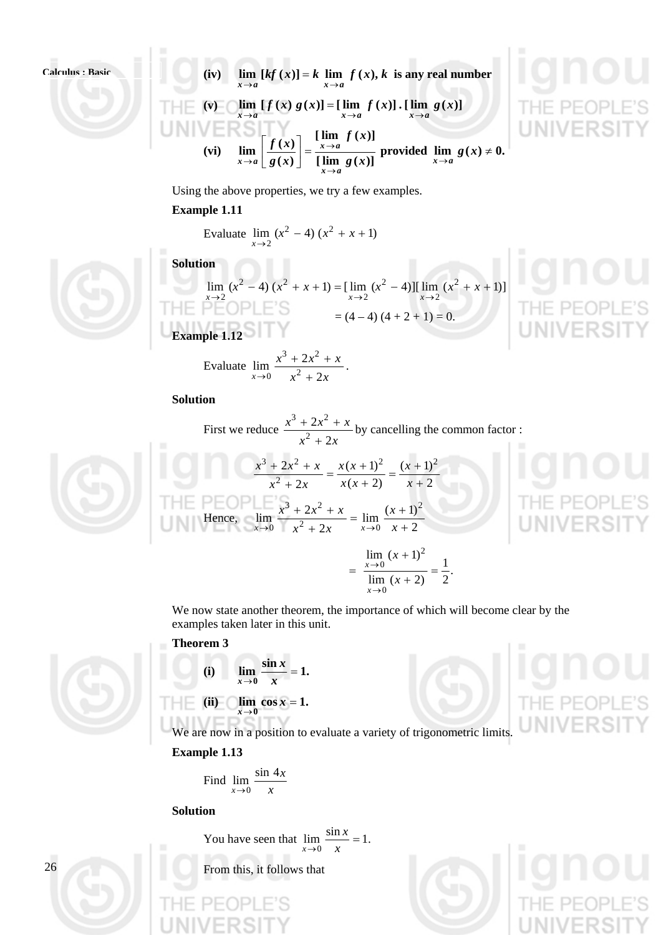Calculus: Basic

\n(iv)

\n
$$
\lim_{x \to a} [kf(x)] = k \lim_{x \to a} f(x), k \text{ is any real number}
$$
\n
$$
(\mathbf{v}) \qquad \lim_{x \to a} [f(x) g(x)] = [\lim_{x \to a} f(x)]. \qquad \lim_{x \to a} g(x)]
$$
\n(vi)

\n
$$
\lim_{x \to a} \left[ \frac{f(x)}{g(x)} \right] = \frac{\lim_{x \to a} f(x)}{\lim_{x \to a} g(x)} \text{ provided } \lim_{x \to a} g(x) \neq 0.
$$



THE PEOPLE

Using the above properties, we try a few examples.

### **Example 1.11**

Evaluate  $\lim_{x\to 2} (x^2 - 4) (x^2 + x + 1)$ 



**Solution**   $\lim_{x\to 2} (x^2 - 4) (x^2 + x + 1) = [\lim_{x\to 2} (x^2 - 4)][\lim_{x\to 2} (x^2 + x + 1)]$ 2 2 2  $\Delta$   $\Delta$  $\lim_{x \to 2} (x^2 - 4) (x^2 + x + 1) = \lim_{x \to 2} (x^2 - 4) \lim_{x \to 2} (x^2 + x +$  $=(4-4)(4+2+1)=0.$ **Example 1.12** 

Evaluate 
$$
\lim_{x \to 0} \frac{x^3 + 2x^2 + x}{x^2 + 2x}
$$
.

**Solution** 

First we reduce  $x^2 + 2x$  $x^3 + 2x^2 + x$ 2 2 2  $3 \sqrt{2}$ +  $+\frac{2x^2+x}{2}$  by cancelling the common factor :

$$
\frac{x^3 + 2x^2 + x}{x^2 + 2x} = \frac{x(x+1)^2}{x(x+2)} = \frac{(x+1)^2}{x+2}
$$
  
Hence, 
$$
\lim_{x \to 0} \frac{x^3 + 2x^2 + x}{x^2 + 2x} = \lim_{x \to 0} \frac{(x+1)^2}{x+2}
$$

 $=\frac{x\rightarrow 0}{x}=\frac{1}{x}.$ 2 1  $\lim (x+2)$  $\lim (x+1)$ 0 2  $\frac{0}{\ln(x+2)}$  = +  $\rightarrow$  $\rightarrow$ *x x x x*

We now state another theorem, the importance of which will become clear by the examples taken later in this unit.

=

**Theorem 3** 



26

(i) 
$$
\lim_{x \to 0} \frac{\sin x}{x} = 1.
$$

$$
\lim_{x\to 0}\cos x=1.
$$

We are now in a position to evaluate a variety of trigonometric limits.

#### **Example 1.13**

Find 
$$
\lim_{x \to 0} \frac{\sin 4x}{x}
$$

**Solution** 

You have seen that  $\lim_{x \to 0} \frac{\sin x}{x} = 1$ . *x*

From this, it follows that



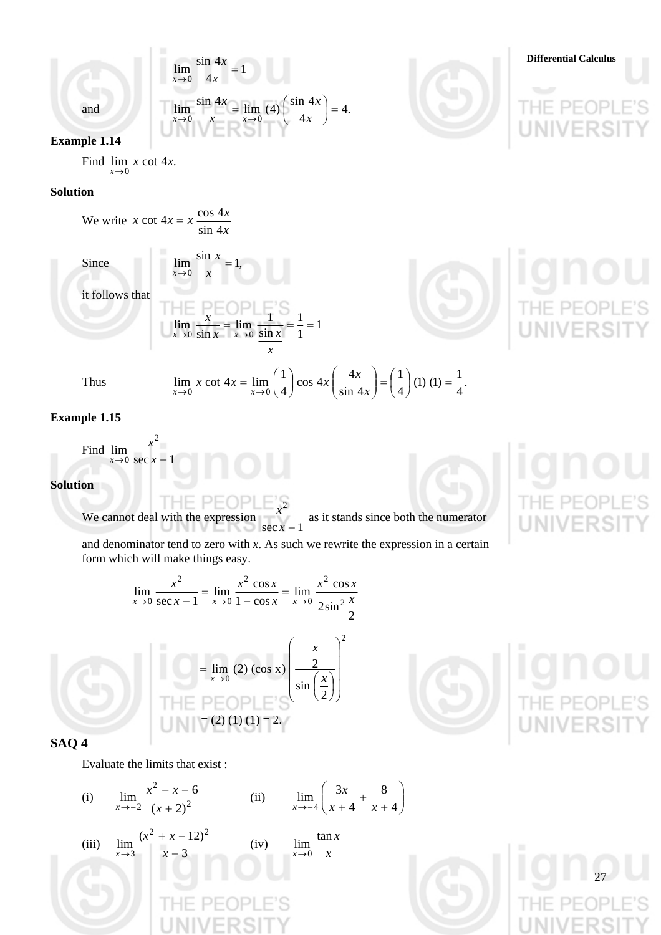

#### **Example 1.15**

Find  $\sec x - 1$ lim 2  $\rightarrow 0$  sec x – *x x*

#### **Solution**

We cannot deal with the expression  $\frac{x}{\sec x - 1}$ 2 *x* −  $\frac{x^2}{x^2}$  as it stands since both the numerator

and denominator tend to zero with *x*. As such we rewrite the expression in a certain form which will make things easy.

$$
\lim_{x \to 0} \frac{x^2}{\sec x - 1} = \lim_{x \to 0} \frac{x^2 \cos x}{1 - \cos x} = \lim_{x \to 0} \frac{x^2 \cos x}{2 \sin^2 \frac{x}{2}}
$$

$$
= \lim_{x \to 0} (2) (\cos x) \left( \frac{\frac{x}{2}}{\sin \left( \frac{x}{2} \right)} \right)^2
$$

#### **SAQ 4**

Evaluate the limits that exist :

 $= (2) (1) (1) = 2.$ 



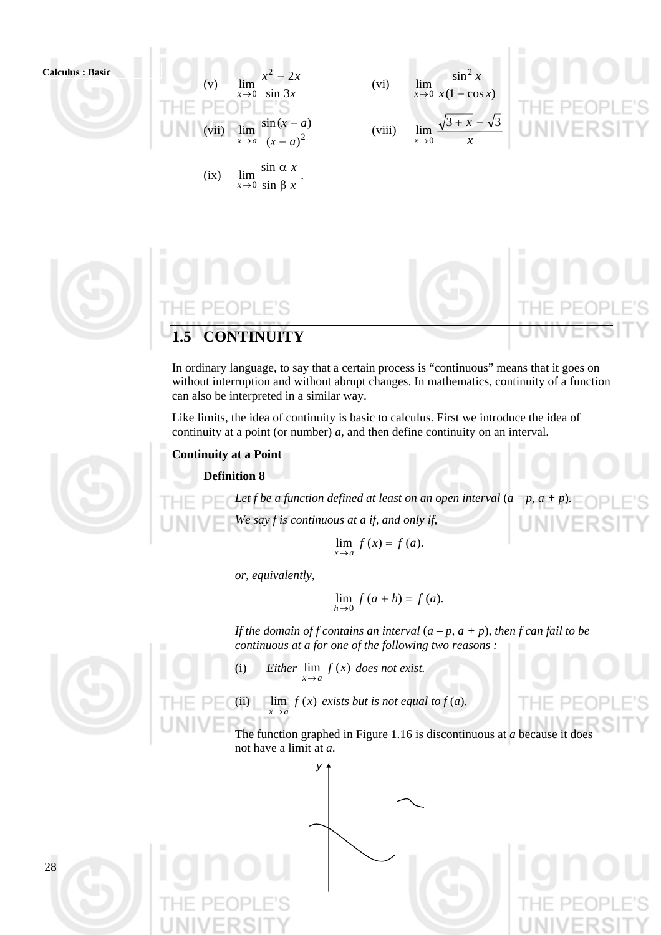

| (v)  | $x^2-2x$<br>lim<br>$x\rightarrow 0$<br>$\sin 3x$   | (vi)   |
|------|----------------------------------------------------|--------|
|      | (vii) $\lim_{x \to a} \frac{\sin(x-a)}{(x-a)^2}$   | (viii) |
| (ix) | $\lim_{x\to 0} \frac{\sin \alpha x}{\sin \beta x}$ |        |







# **1.5 CONTINUITY**

In ordinary language, to say that a certain process is "continuous" means that it goes on without interruption and without abrupt changes. In mathematics, continuity of a function can also be interpreted in a similar way.

Like limits, the idea of continuity is basic to calculus. First we introduce the idea of continuity at a point (or number) *a*, and then define continuity on an interval.

**Continuity at a Point** 

**Definition 8** 

Let f be a function defined at least on an open interval  $(a - p, a + p)$ . *We say f is continuous at a if, and only if,* 

$$
\lim_{x \to a} f(x) = f(a).
$$

*or, equivalently,* 

$$
\lim_{h\to 0} f(a+h) = f(a).
$$

*If the domain of f contains an interval*  $(a - p, a + p)$ *, then f can fail to be continuous at a for one of the following two reasons :* 

(i) *Either*  $\lim_{x\to a} f(x)$  does not exist.

*y* 

(ii)  $\lim_{x \to a} f(x)$  exists but is not equal to  $f(a)$ *.* 

The function graphed in Figure 1.16 is discontinuous at *a* because it does not have a limit at *a*.

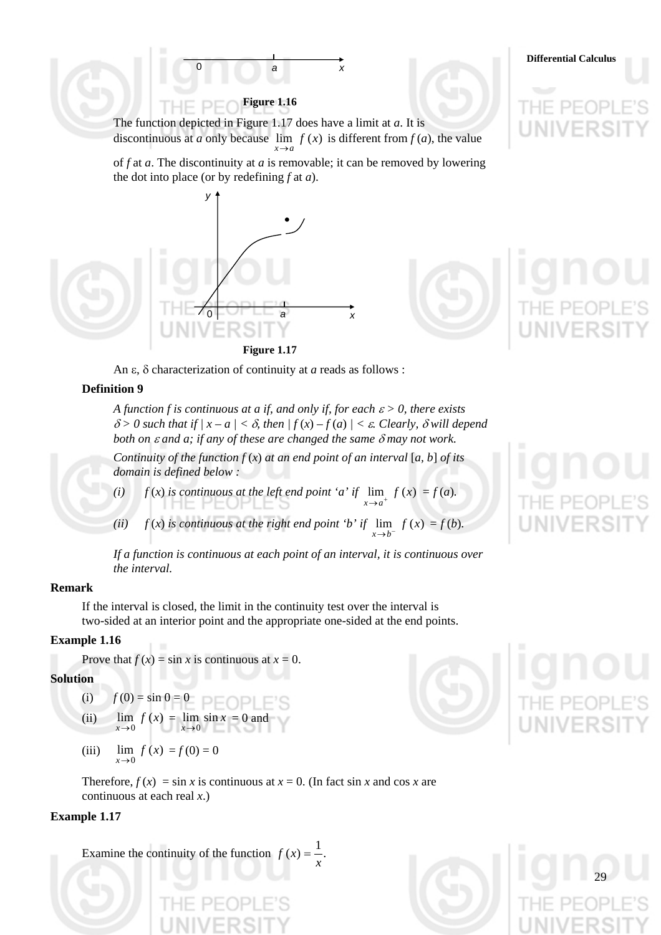**Differential Calculus**

# **Figure 1.16**

The function depicted in Figure 1.17 does have a limit at *a*. It is discontinuous at *a* only because  $\lim_{x\to a} f(x)$  is different from  $f(a)$ , the value

0 *a x* 

of *f* at *a*. The discontinuity at *a* is removable; it can be removed by lowering the dot into place (or by redefining *f* at *a*).





An ε, δ characterization of continuity at *a* reads as follows :

### **Definition 9**

*A function f is continuous at a if, and only if, for each* ε *> 0, there exists*   $δ > 0$  such that if  $|x - a| < δ$ , then  $|f(x) - f(a)| < ε$ . Clearly,  $δ$  will depend *both on* ε *and a; if any of these are changed the same* δ *may not work.* 

*Continuity of the function*  $f(x)$  *at an end point of an interval [a, b] of its domain is defined below :* 

- *(i)*  $f(x)$  *is continuous at the left end point 'a' if*  $\lim_{x \to a^+} f(x) = f(a)$ *.*
- *(ii) f*(*x*) *is continuous at the right end point 'b' if*  $\lim_{x \to b^-} f(x) = f(b)$ .

*If a function is continuous at each point of an interval, it is continuous over the interval.* 

#### **Remark**

If the interval is closed, the limit in the continuity test over the interval is two-sided at an interior point and the appropriate one-sided at the end points.

#### **Example 1.16**

Prove that  $f(x) = \sin x$  is continuous at  $x = 0$ .

### **Solution**

- (i)  $f(0) = \sin 0 = 0$
- (ii)  $\lim_{x \to 0} f(x) = \lim_{x \to 0} \sin x = 0$  and

(iii)  $\lim_{x \to 0} f(x) = f(0) = 0$  $x\rightarrow 0$ 



Therefore,  $f(x) = \sin x$  is continuous at  $x = 0$ . (In fact  $\sin x$  and  $\cos x$  are continuous at each real *x*.)

#### **Example 1.17**

Examine the continuity of the function  $f(x) = \frac{1}{x}$ . *x*  $f(x) =$ 



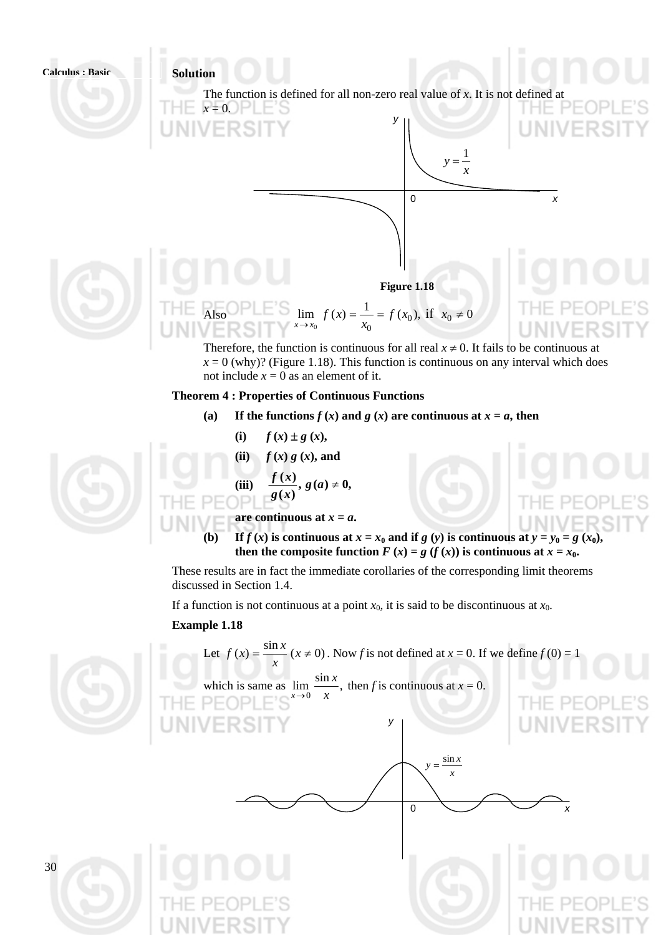

Therefore, the function is continuous for all real  $x \neq 0$ . It fails to be continuous at  $x = 0$  (why)? (Figure 1.18). This function is continuous on any interval which does not include  $x = 0$  as an element of it.

#### **Theorem 4 : Properties of Continuous Functions**

- (a) If the functions  $f(x)$  and  $g(x)$  are continuous at  $x = a$ , then
	- **(i)**  $f(x) \pm g(x)$ ,
	- $f(x)g(x)$ , and

(iii) 
$$
\frac{f(x)}{g(x)}, g(a) \neq 0,
$$

are continuous at  $x = a$ . (b) If  $f(x)$  is continuous at  $x = x_0$  and if  $g(y)$  is continuous at  $y = y_0 = g(x_0)$ **then the composite function**  $F(x) = g(f(x))$  **is continuous at**  $x = x_0$ **.** 

These results are in fact the immediate corollaries of the corresponding limit theorems discussed in Section 1.4.

If a function is not continuous at a point  $x_0$ , it is said to be discontinuous at  $x_0$ .

#### **Example 1.18**





0 *x* 

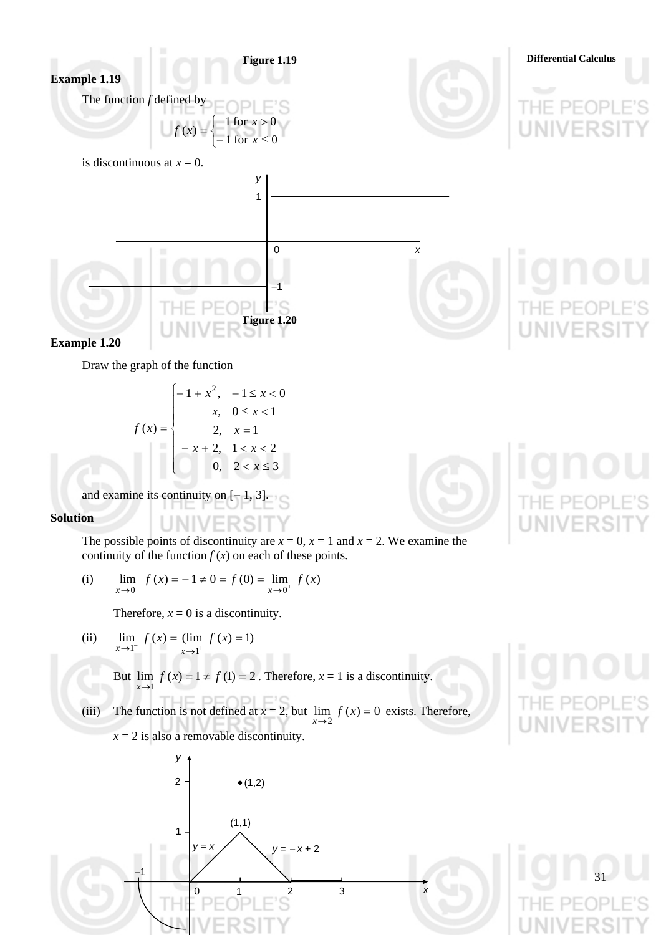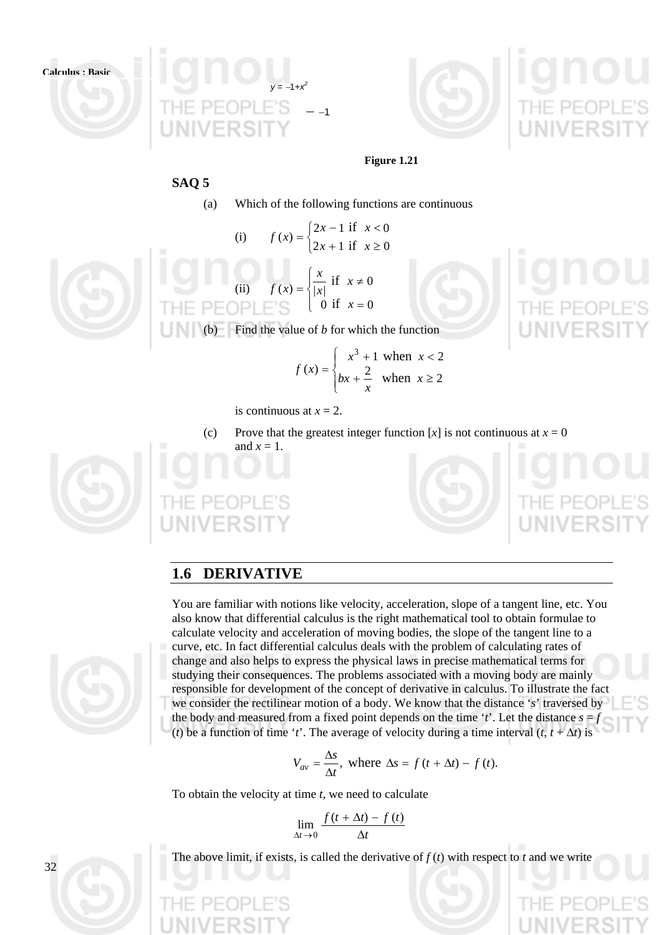





### **Figure 1.21**

### **SAQ 5**



(a) Which of the following functions are continuous

#### (i)  $\overline{a}$ ⎨  $\sqrt{2}$  $f(x) =\begin{cases} 2x - 1 & \text{if } x < 0 \\ 2x + 1 & \text{if } x \ge 0 \end{cases}$ if  $x + 1$  if x  $f(x) = \begin{cases} 2x - 1 & \text{if } x \\ 2x - 1 & \text{if } x \end{cases}$

- (ii)  $\overline{\mathcal{L}}$  $\overline{a}$ ⎨  $\sqrt{2}$ =  $=\frac{x}{\sqrt{x}}$  if  $x \neq$ 0 if  $x = 0$  $f(x) = \sqrt{\frac{x}{|x|}}$  if  $x \neq 0$ if if *x x |x| x xf*
- Find the value of  $b$  for which the function

$$
f(x) = \begin{cases} x^3 + 1 & \text{when } x < 2 \\ bx + \frac{2}{x} & \text{when } x \ge 2 \end{cases}
$$

is continuous at  $x = 2$ .

(c) Prove that the greatest integer function [x] is not continuous at  $x = 0$ and  $x = 1$ .



### **1.6 DERIVATIVE**

You are familiar with notions like velocity, acceleration, slope of a tangent line, etc. You also know that differential calculus is the right mathematical tool to obtain formulae to calculate velocity and acceleration of moving bodies, the slope of the tangent line to a curve, etc. In fact differential calculus deals with the problem of calculating rates of change and also helps to express the physical laws in precise mathematical terms for studying their consequences. The problems associated with a moving body are mainly responsible for development of the concept of derivative in calculus. To illustrate the fact we consider the rectilinear motion of a body. We know that the distance '*s*' traversed by the body and measured from a fixed point depends on the time '*t*'. Let the distance  $s = f$ (*t*) be a function of time '*t*'. The average of velocity during a time interval  $(t, t + \Delta t)$  is

$$
V_{av} = \frac{\Delta s}{\Delta t}, \text{ where } \Delta s = f(t + \Delta t) - f(t).
$$

To obtain the velocity at time *t*, we need to calculate

$$
\lim_{\Delta t \to 0} \frac{f(t + \Delta t) - f(t)}{\Delta t}
$$

The above limit, if exists, is called the derivative of  $f(t)$  with respect to  $t$  and we write

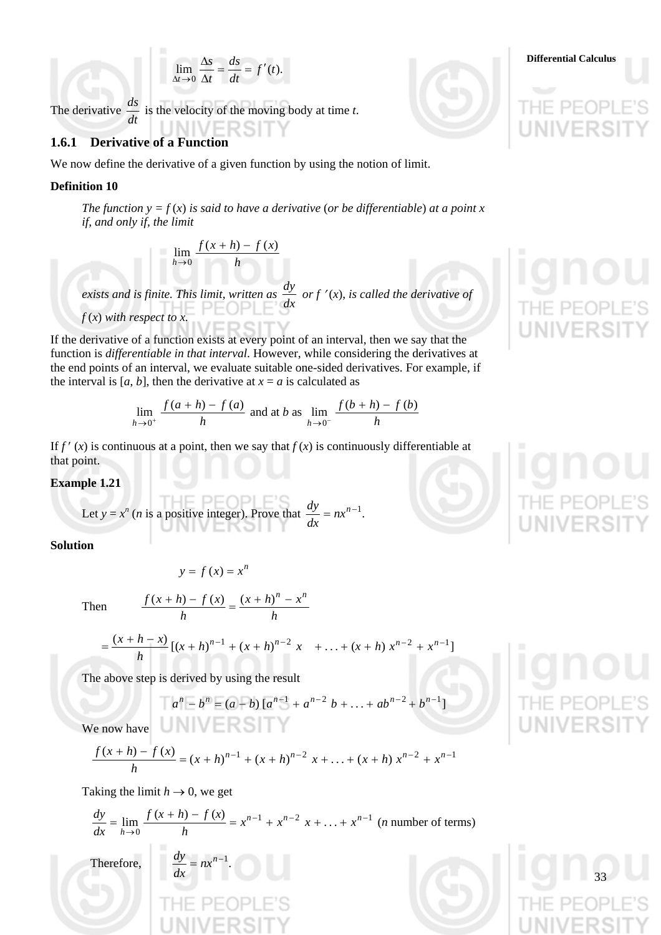$$
\lim_{\Delta t \to 0} \frac{\Delta s}{\Delta t} = \frac{ds}{dt} = f'(t).
$$

The derivative *dt*  $\frac{ds}{dt}$  is the velocity of the moving body at time *t*.

### **1.6.1 Derivative of a Function**

We now define the derivative of a given function by using the notion of limit.

#### **Definition 10**

*The function y = f (x) is said to have a derivative (or be differentiable) at a point x if, and only if, the limit* 

$$
\lim_{h\to 0}\frac{f(x+h)-f(x)}{h}
$$

*exists and is finite. This limit, written as*  $\frac{dy}{dx}$  *or f '(x), is called the derivative of*  $f(x)$  with respect to x.

If the derivative of a function exists at every point of an interval, then we say that the function is *differentiable in that interval*. However, while considering the derivatives at the end points of an interval, we evaluate suitable one-sided derivatives. For example, if the interval is [a, b], then the derivative at  $x = a$  is calculated as

$$
\lim_{h \to 0^+} \frac{f(a+h) - f(a)}{h}
$$
 and at *b* as 
$$
\lim_{h \to 0^-} \frac{f(b+h) - f(b)}{h}
$$

If  $f'(x)$  is continuous at a point, then we say that  $f(x)$  is continuously differentiable at that point.

#### **Example 1.21**

Let 
$$
y = x^n
$$
 (*n* is a positive integer). Prove that  $\frac{dy}{dx} = nx^{n-1}$ .

 $y = f(x) = x^n$ 

**Solution** 

Then

$$
\frac{f(x+h)-f(x)}{h} = \frac{(x+h)^n - x^n}{h}
$$

$$
= \frac{(x+h-x)}{h} [(x+h)^{n-1} + (x+h)^{n-2} x + \ldots + (x+h) x^{n-2} + x^{n-1}]
$$

The above step is derived by using the result

$$
a^{n} - b^{n} = (a - b) [a^{n-1} + a^{n-2} b + ... + ab^{n-2} + b^{n-1}]
$$

We now have UNIVERSITY

$$
\frac{f(x+h)-f(x)}{h} = (x+h)^{n-1} + (x+h)^{n-2}x + \ldots + (x+h)x^{n-2} + x^{n-1}
$$

Taking the limit  $h \to 0$ , we get

*dx dy*

$$
\frac{dy}{dx} = \lim_{h \to 0} \frac{f(x+h) - f(x)}{h} = x^{n-1} + x^{n-2} x + ... + x^{n-1} (n \text{ number of terms})
$$

Therefore,



33



#### **Differential Calculus**

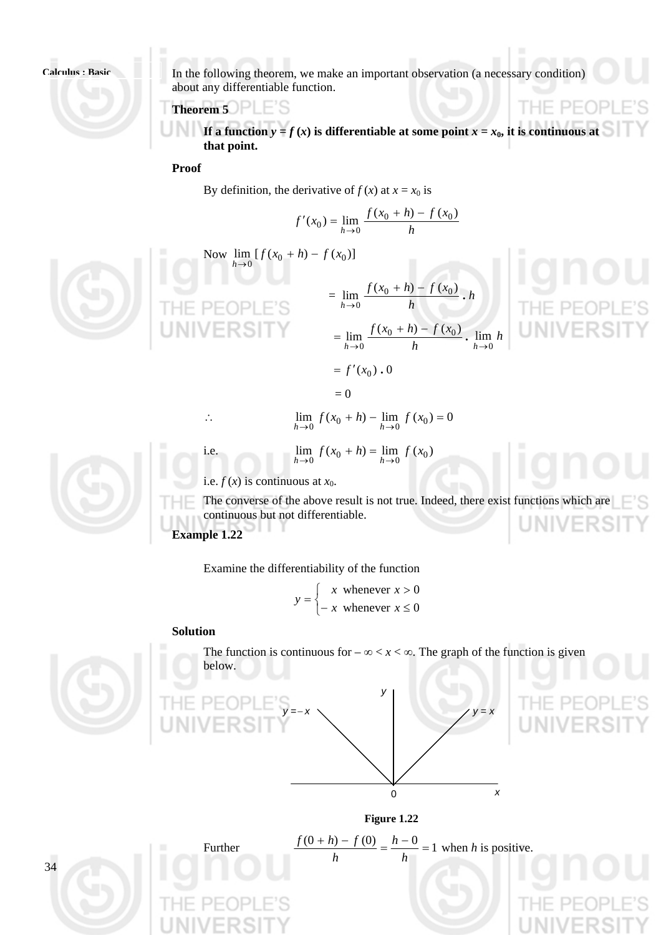#### **Calculus : Basic**

In the following theorem, we make an important observation (a necessary condition) about any differentiable function.

**Theorem 5** 

**If a function**  $y = f(x)$  is differentiable at some point  $x = x_0$ , it is continuous at **that point.** 

#### **Proof**

By definition, the derivative of  $f(x)$  at  $x = x_0$  is

$$
f'(x_0) = \lim_{h \to 0} \frac{f(x_0 + h) - f(x_0)}{h}
$$



Now  $\lim_{h\to 0} [f(x_0 + h) - f(x_0)]$  $=\lim_{h\to 0} \frac{f(x_0+h)-f(x)}{h}$ 

 $=$   $\lim_{h \to 0} \frac{f(x_0 + h) - f(x_0)}{h}$ . *h*  $\lim_{h\to 0} \frac{f(x_0 + h) - f(x_0)}{h}$ .  $+h$ ) –  $\rightarrow$  $=\lim_{h\to 0} \frac{f(x_0+h)-f(x_0)}{h}$ .  $\lim_{h\to 0} h$ 

$$
=f'(x_0)\cdot 0
$$

$$
= 0
$$

∴  $\lim_{h\to 0} f(x_0 + h) - \lim_{h\to 0} f(x_0) = 0$ 

i.e. 
$$
\lim_{h \to 0} f(x_0 + h) = \lim_{h \to 0} f(x_0)
$$



i.e.  $f(x)$  is continuous at  $x_0$ .

The converse of the above result is not true. Indeed, there exist functions which are continuous but not differentiable.

**Example 1.22** 

Examine the differentiability of the function

$$
y = \begin{cases} x \text{ whenever } x > 0 \\ -x \text{ whenever } x \le 0 \end{cases}
$$

#### **Solution**







*h*



THE PEOP



*h*

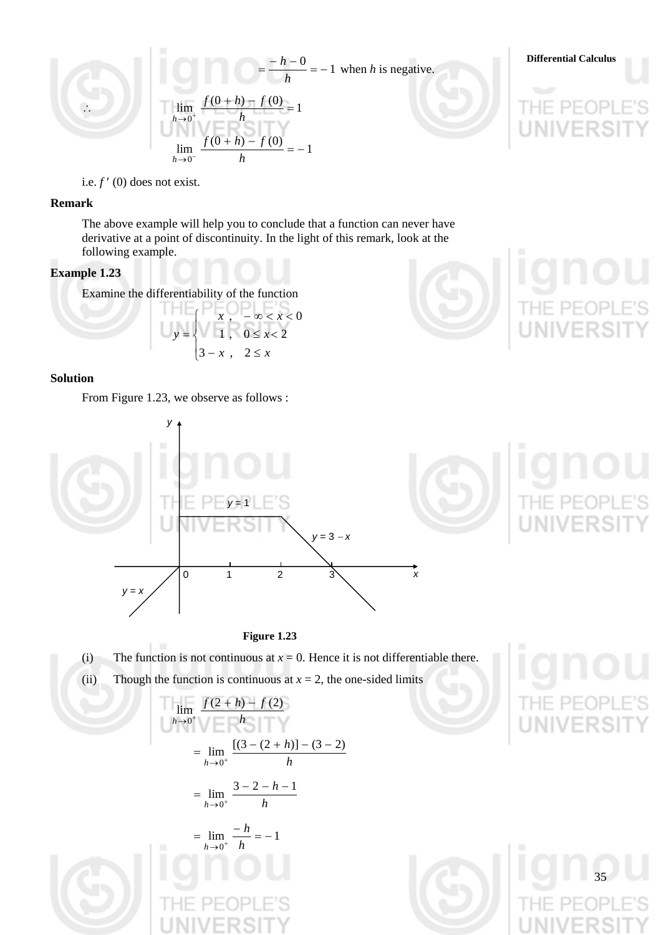

i.e.  $f'(0)$  does not exist.

#### **Remark**

The above example will help you to conclude that a function can never have derivative at a point of discontinuity. In the light of this remark, look at the following example.

### **Example 1.23**

Examine the differentiability of the function

 $\overline{\mathcal{L}}$  $\frac{1}{2}$ ⎨  $\left($  $-x$ , 2≤  $\leq x <$  $-\infty < x <$ =  $x, 2 \leq x$ *x*  $x, -\infty < x$ *y*  $3-x$ , 2 1,  $0 \le x < 2$  $, -\infty < x < 0$ 

*y* = 1

#### **Solution**

From Figure 1.23, we observe as follows :

*y* 

T

*y* = *x*







(i) The function is not continuous at  $x = 0$ . Hence it is not differentiable there.

0 1 2  $3 \times x$ 

*y* = 3 − *x*

(ii) Though the function is continuous at  $x = 2$ , the one-sided limits

$$
\lim_{h \to 0^{+}} \frac{f(2+h) - f(2)}{h}
$$
\n
$$
= \lim_{h \to 0^{+}} \frac{[(3 - (2 + h)] - (3 - 2)}{h}
$$
\n
$$
= \lim_{h \to 0^{+}} \frac{3 - 2 - h - 1}{h}
$$
\n
$$
= \lim_{h \to 0^{+}} \frac{-h}{h} = -1
$$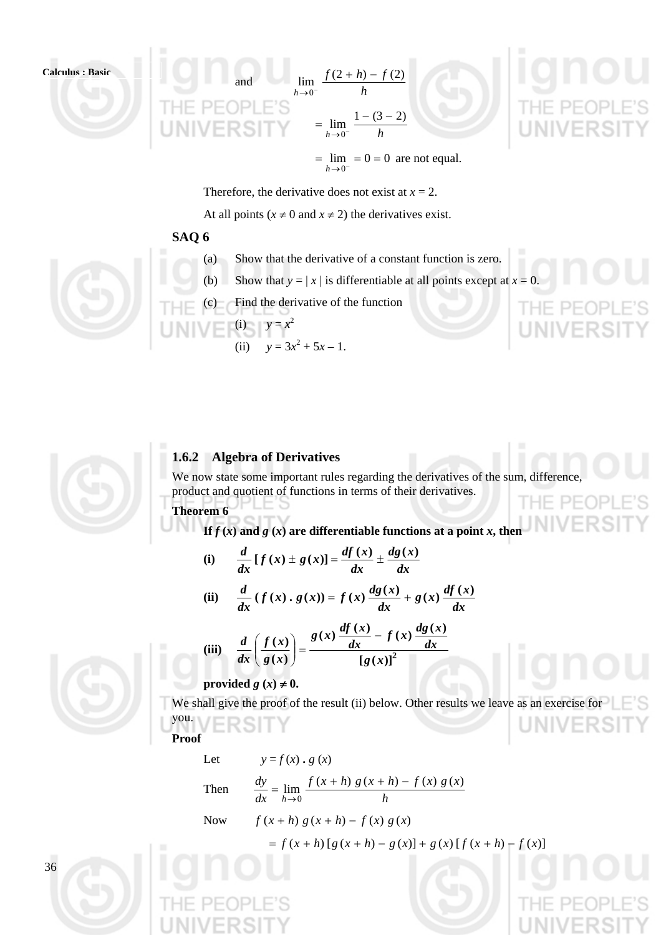





Therefore, the derivative does not exist at  $x = 2$ .

0

At all points ( $x \neq 0$  and  $x \neq 2$ ) the derivatives exist.

### **SAQ 6**

(a) Show that the derivative of a constant function is zero.

(b) Show that  $y = |x|$  is differentiable at all points except at  $x = 0$ .

(c) Find the derivative of the function

(i)  $y = x^2$ 

(ii)  $y = 3x^2 + 5x - 1$ .





36

### **1.6.2 Algebra of Derivatives**

We now state some important rules regarding the derivatives of the sum, difference, product and quotient of functions in terms of their derivatives. THE.

- **Theorem 6** 
	- **If**  $f(x)$  and  $g(x)$  are differentiable functions at a point  $x$ , then
		- (i)  $\frac{d}{dx}[f(x) \pm g(x)] = \frac{df(x)}{dx} \pm \frac{dg(x)}{dx}$  $\frac{d}{dx}[f(x) \pm g(x)] = \frac{df(x)}{dx} \pm \frac{dg(x)}{dx}$

(ii) 
$$
\frac{d}{dx}(f(x), g(x)) = f(x)\frac{dg(x)}{dx} + g(x)\frac{df(x)}{dx}
$$

(iii) 
$$
\frac{d}{dx}\left(\frac{f(x)}{g(x)}\right) = \frac{g(x)\frac{df(x)}{dx} - f(x)\frac{dg(x)}{dx}}{[g(x)]^2}
$$

### **provided**  $g(x) \neq 0$ .

We shall give the proof of the result (ii) below. Other results we leave as an exercise for you.

**Proof** 

Let 
$$
y=f(x) \cdot g(x)
$$
  
Then 
$$
\frac{dy}{dx} = \lim_{h \to 0} \frac{f(x+h)}{h}
$$

*h*  $=\lim_{h\to 0} \frac{f(x+h)g(x+h)-f(x)g(x)}{h}$  $f(x + h) g(x + h) - f(x) g(x)$ 

$$
= f(x+h) [g(x+h) - g(x)] + g(x) [f(x+h) - f(x)]
$$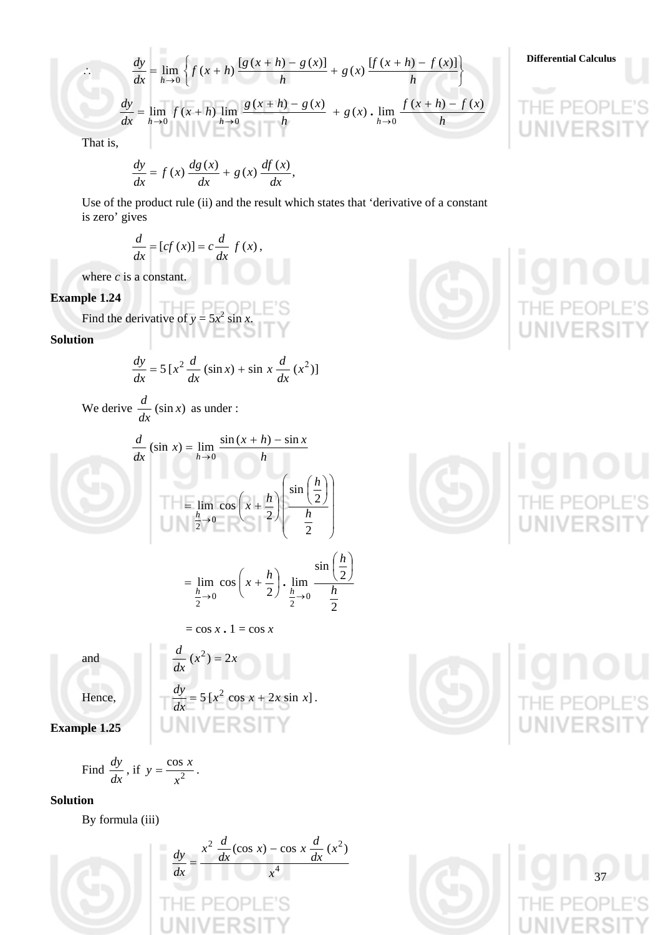$$
\frac{dy}{dx} = \lim_{h \to 0} \left\{ f(x+h) \frac{[g(x+h) - g(x)]}{h} + g(x) \frac{[f(x+h) - f(x)]}{h} \right\}
$$
  

$$
\frac{dy}{dx} = \lim_{h \to 0} f(x+h) \lim_{h \to 0} \frac{g(x+h) - g(x)}{h} + g(x) \cdot \lim_{h \to 0} \frac{f(x+h) - f(x)}{h}
$$
  
That is,

That is

$$
\frac{dy}{dx} = f(x)\frac{dg(x)}{dx} + g(x)\frac{df(x)}{dx},
$$

Use of the product rule (ii) and the result which states that 'derivative of a constant is zero' gives

$$
\frac{d}{dx} = [cf(x)] = c\frac{d}{dx}f(x),
$$

where *c* is a constant.

 $1 - 11$ 

**Example 1.24** 

**Figure 1.24**  
Find the derivative of 
$$
y = 5x^2 \sin x
$$
.

**Solution** 

$$
\frac{dy}{dx} = 5\left[x^2\frac{d}{dx}\left(\sin x\right) + \sin x\frac{d}{dx}\left(x^2\right)\right]
$$

We derive  $\frac{d}{dx}(\sin x)$  as under :

$$
\frac{d}{dx} (\sin x) = \lim_{h \to 0} \frac{\sin (x + h) - \sin x}{h}
$$

$$
\frac{d}{dx} \sinh x = \lim_{h \to 0} \cos \left( x + \frac{h}{2} \right) \left( \frac{\sin \left( \frac{h}{2} \right)}{\frac{h}{2}} \right)
$$

$$
= \lim_{h \to 0} \cos\left(x + \frac{h}{2}\right) \cdot \lim_{h \to 0} \frac{\sin\left(\frac{h}{2}\right)}{\frac{h}{2} + \frac{h}{2}}
$$

⎠

$$
= \cos x \cdot 1 = \cos x
$$

 $\frac{dy}{dx}$  = 5 [x<sup>2</sup> cos x + 2x sin x].

 $\frac{d}{dx}(x^2) = 2$ 

Hence,  $\frac{dy}{dx} = 5[x^2 \cos x + 2x \sin x]$ **Example 1.25** 

Find 
$$
\frac{dy}{dx}
$$
, if  $y = \frac{\cos x}{x^2}$ .

and  $\frac{u}{x}(x^2) = 2x$ *dx*

*dx*

#### **Solution**

By formula (iii)



$$
\frac{dy}{dx} = \frac{x^2 \frac{d}{dx}(\cos x) - \cos x \frac{d}{dx}(x^2)}{x^4}
$$
\n
$$
THE PEOPLE'S
$$
\n
$$
UNVERSTY
$$











THE PE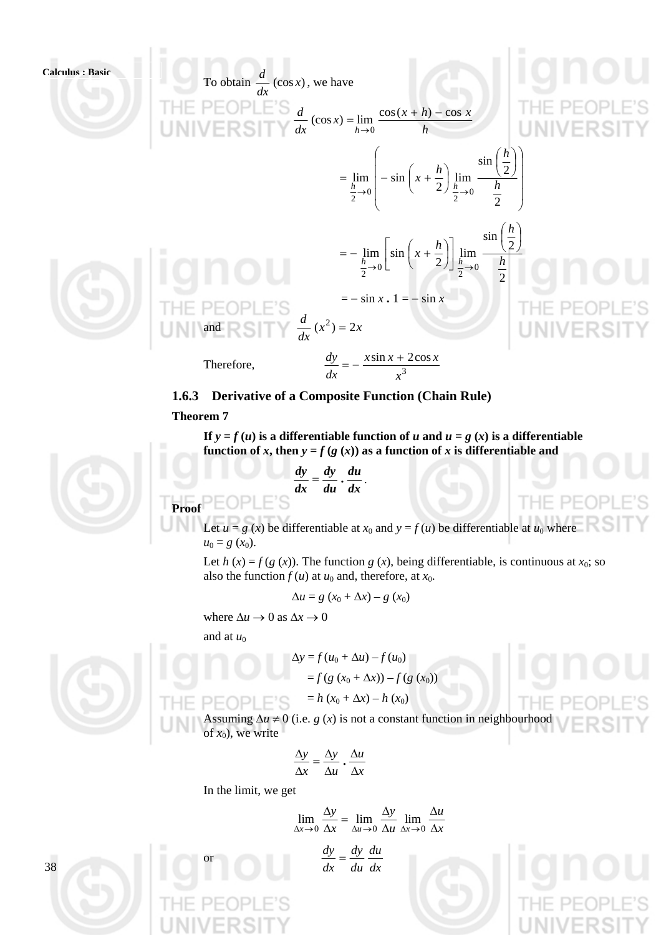

Therefore,  $\frac{dy}{dx} = -\frac{x\sin x + 2\cos x}{x^3}$ *x*  $x\sin x + 2\cos x$ *dx*  $\frac{dy}{dx} = -\frac{x \sin x + y}{x}$ 

### **1.6.3 Derivative of a Composite Function (Chain Rule)**

#### **Theorem 7**

**Proof** 

**If**  $y = f(u)$  is a differentiable function of *u* and  $u = g(x)$  is a differentiable **function of** *x***, then**  $y = f(g(x))$  **as a function of** *x* **is differentiable and** 

$$
\frac{dy}{dx} = \frac{dy}{du} \cdot \frac{du}{dx}.
$$

Let  $u = g(x)$  be differentiable at  $x_0$  and  $y = f(u)$  be differentiable at  $u_0$  where  $u_0 = g(x_0)$ .

Let  $h(x) = f(g(x))$ . The function  $g(x)$ , being differentiable, is continuous at  $x_0$ ; so also the function  $f(u)$  at  $u_0$  and, therefore, at  $x_0$ .

$$
\Delta u = g(x_0 + \Delta x) - g(x_0)
$$

where  $\Delta u \rightarrow 0$  as  $\Delta x \rightarrow 0$ 

and at  $u_0$ 

$$
\Delta y = f (u_0 + \Delta u) - f (u_0)
$$
  
=  $f (g (x_0 + \Delta x)) - f (g (x_0))$   
=  $h (x_0 + \Delta x) - h (x_0)$ 

Assuming  $\Delta u \neq 0$  (i.e. *g* (*x*) is not a constant function in neighbourhood of  $x_0$ ), we write

$$
\frac{\Delta y}{\Delta x} = \frac{\Delta y}{\Delta u} \cdot \frac{\Delta u}{\Delta x}
$$

In the limit, we get

$$
\lim_{\Delta x \to 0} \frac{\Delta y}{\Delta x} = \lim_{\Delta u \to 0} \frac{\Delta y}{\Delta u} \lim_{\Delta x \to 0} \frac{\Delta u}{\Delta x}
$$

$$
\frac{dy}{dx} = \frac{dy}{du} \frac{du}{dx}
$$

or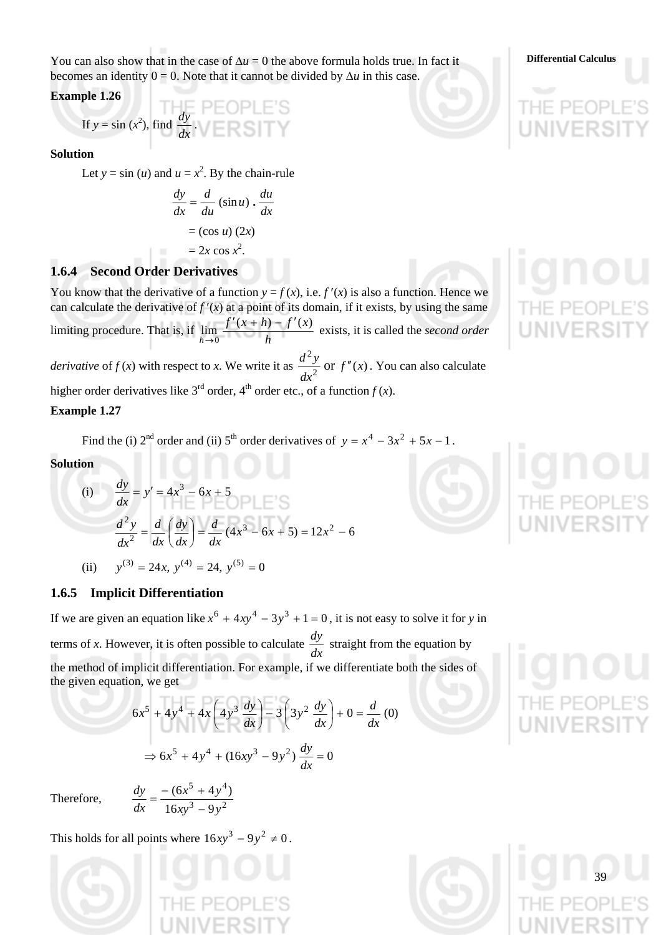You can also show that in the case of  $\Delta u = 0$  the above formula holds true. In fact it **Differential Calculus** becomes an identity  $0 = 0$ . Note that it cannot be divided by  $\Delta u$  in this case.

#### **Example 1.26**

If 
$$
y = \sin(x^2)
$$
, find  $\frac{dy}{dx}$ .

#### **Solution**

Let  $y = \sin(u)$  and  $u = x^2$ . By the chain-rule

$$
\frac{dy}{dx} = \frac{d}{du}(\sin u) \cdot \frac{du}{dx}
$$

$$
= (\cos u)(2x)
$$

$$
= 2x \cos x^2.
$$

### **1.6.4 Second Order Derivatives**

You know that the derivative of a function  $y = f(x)$ , i.e.  $f'(x)$  is also a function. Hence we can calculate the derivative of  $f'(x)$  at a point of its domain, if it exists, by using the same limiting procedure. That is, if  $\lim_{h\to 0} \frac{f'(x+h) - f'(x)}{h}$  $\lim_{h\to 0}\frac{f'(x+h)-f'(x)}{h}$  $\lim_{x\to 0} \frac{f'(x+h) - f'(x)}{h}$  exists, it is called the *second order derivative* of  $f(x)$  with respect to *x*. We write it as  $\frac{d^2y}{dx^2}$  or  $f''(x)$ 2 *xf dx*  $\frac{d^2y}{dx^2}$  or  $f''(x)$ . You can also calculate higher order derivatives like  $3^{rd}$  order,  $4^{th}$  order etc., of a function  $f(x)$ .

#### **Example 1.27**

Find the (i)  $2^{\text{nd}}$  order and (ii)  $5^{\text{th}}$  order derivatives of  $y = x^4 - 3x^2 + 5x - 1$ .

#### **Solution**

(i) 
$$
\frac{dy}{dx} = y' = 4x^3 - 6x + 5
$$
  
 $\frac{d^2y}{dx^2} = \frac{d}{dx} \left(\frac{dy}{dx}\right) = \frac{d}{dx} (4x^3 - 6x + 5) = 12x^2 - 6$ 

(ii)  $v^{(3)} = 24x$ ,  $v^{(4)} = 24$ ,  $v^{(5)} = 0$ 

#### **1.6.5 Implicit Differentiation**

If we are given an equation like  $x^6 + 4xy^4 - 3y^3 + 1 = 0$ , it is not easy to solve it for *y* in terms of *x*. However, it is often possible to calculate *dx*  $\frac{dy}{dx}$  straight from the equation by the method of implicit differentiation. For example, if we differentiate both the sides of the given equation, we get

$$
6x^5 + 4y^4 + 4x\left(4y^3\frac{dy}{dx}\right) - 3\left(3y^2\frac{dy}{dx}\right) + 0 = \frac{d}{dx}(0)
$$
  

$$
\Rightarrow 6x^5 + 4y^4 + (16xy^3 - 9y^2)\frac{dy}{dx} = 0
$$

Therefore,  $\frac{dy}{dx} = \frac{(\cos^{-1} + \frac{1}{2})}{16x^3 - 0^2}$ 5  $4^{1.4}$  $16xy^3 - 9$  $(6x^3 + 4y^4)$ *xy*<sup>3</sup> – 9*y*  $x^3 + 4y$ *dx dy* −  $=\frac{-(6x^5+)}{x^2}$ 

This holds for all points where  $16xy^3 - 9y^2 \neq 0$ .









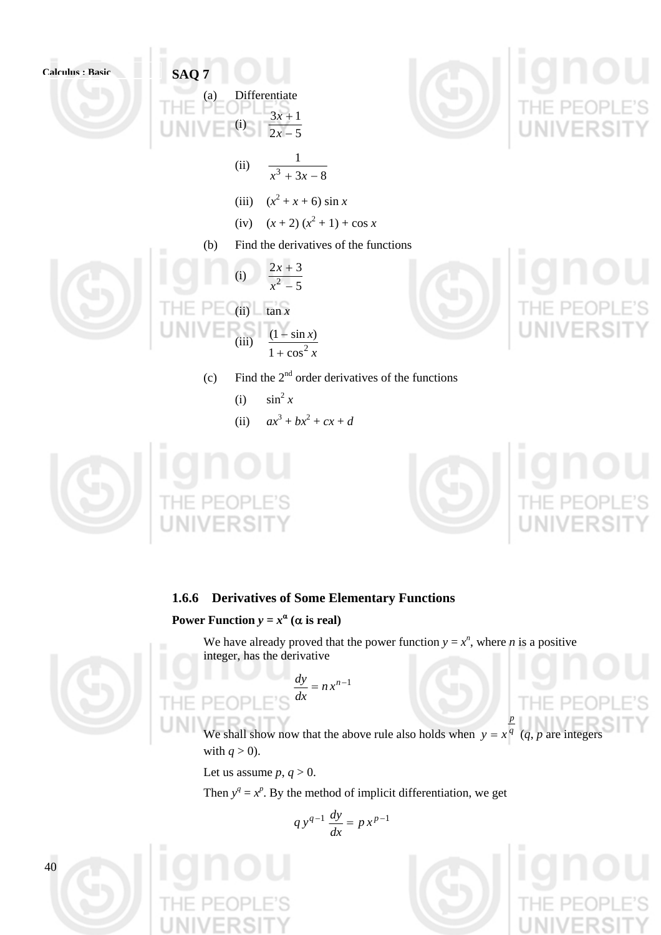

- (c) Find the  $2<sup>nd</sup>$  order derivatives of the functions
	- $\sin^2 x$

(ii) 
$$
ax^3 + bx^2 + cx + d
$$







*p*

# **1.6.6 Derivatives of Some Elementary Functions**

### **Power Function**  $y = x^{\alpha}$  ( $\alpha$  is real)

We have already proved that the power function  $y = x^n$ , where *n* is a positive integer, has the derivative

$$
\frac{dy}{dx} = nx^{n-1}
$$

We shall show now that the above rule also holds when  $y = x^q$  (q, p are integers with  $q > 0$ ).

Let us assume  $p, q > 0$ .

Then  $y^q = x^p$ . By the method of implicit differentiation, we get

$$
q y^{q-1} \frac{dy}{dx} = p x^{p-1}
$$





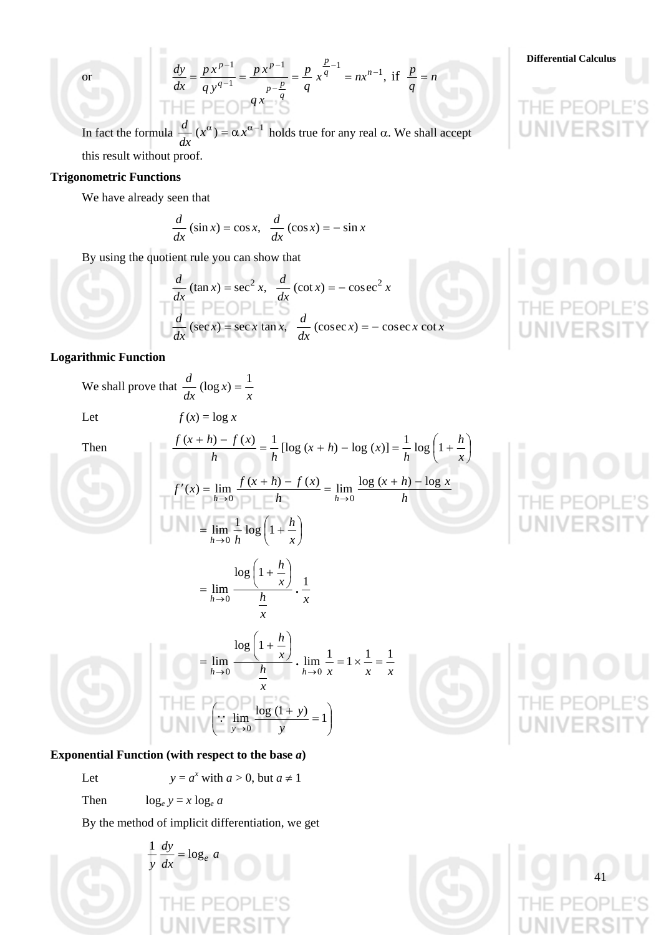**Differential Calculus**

or 
$$
\frac{dy}{dx} = \frac{px^{p-1}}{qy^{q-1}} = \frac{px^{p-1}}{p-\frac{p}{q}} = \frac{p}{q}x^{\frac{p}{q}-1} = nx^{n-1}, \text{ if } \frac{p}{q} = n
$$

In fact the formula  $\frac{d}{dx}(x^{\alpha}) = \alpha x^{\alpha-1}$ *dx*  $\frac{d}{dx}(x^{\alpha}) = \alpha x^{\alpha-1}$  holds true for any real  $\alpha$ . We shall accept this result without proof.

#### **Trigonometric Functions**

We have already seen that

$$
\frac{d}{dx}(\sin x) = \cos x, \quad \frac{d}{dx}(\cos x) = -\sin x
$$

By using the quotient rule you can show that

$$
\frac{d}{dx}(\tan x) = \sec^2 x, \quad \frac{d}{dx}(\cot x) = -\csc^2 x
$$
  

$$
\frac{d}{dx}(\sec x) = \sec x \tan x, \quad \frac{d}{dx}(\csc x) = -\csc x \cot x
$$

#### **Logarithmic Function**

We shall prove that *x x dx*  $\frac{d}{dx}$  (log x) =  $\frac{1}{x}$ 

 $Let$ 

$$
f(x) = \log x
$$

Then  
\n
$$
\frac{f(x+h) - f(x)}{h} = \frac{1}{h} [\log (x+h) - \log (x)] = \frac{1}{h} \log \left(1 + \frac{h}{x}\right)
$$
\n
$$
f'(x) = \lim_{h \to 0} \frac{f(x+h) - f(x)}{h} = \lim_{h \to 0} \frac{\log (x+h) - \log x}{h}
$$
\n
$$
= \lim_{h \to 0} \frac{1}{h} \log \left(1 + \frac{h}{x}\right)
$$
\n
$$
= \lim_{h \to 0} \frac{\log \left(1 + \frac{h}{x}\right)}{\frac{h}{x}} \cdot \frac{1}{x}
$$
\n
$$
= \lim_{h \to 0} \frac{\log \left(1 + \frac{h}{x}\right)}{\frac{h}{x}} \cdot \lim_{h \to 0} \frac{1}{x} = 1 \times \frac{1}{x} = \frac{1}{x}
$$

 $\frac{\log(1+y)}{y\rightarrow 0} = 1$ 0 *y*

*y*

⎠ ⎞



⎠

*x h*

#### **Exponential Function (with respect to the base** *a***)**

Let  $y = a^x$  with  $a > 0$ , but  $a \ne 1$ 

Then  $\log_e y = x \log_e a$ 

By the method of implicit differentiation, we get

 $\lim_{x \to 0} \frac{\log(1+y)}{y} = 1$ 

 $\overline{\phantom{a}}$ ⎝

 $\frac{1}{y}$ 



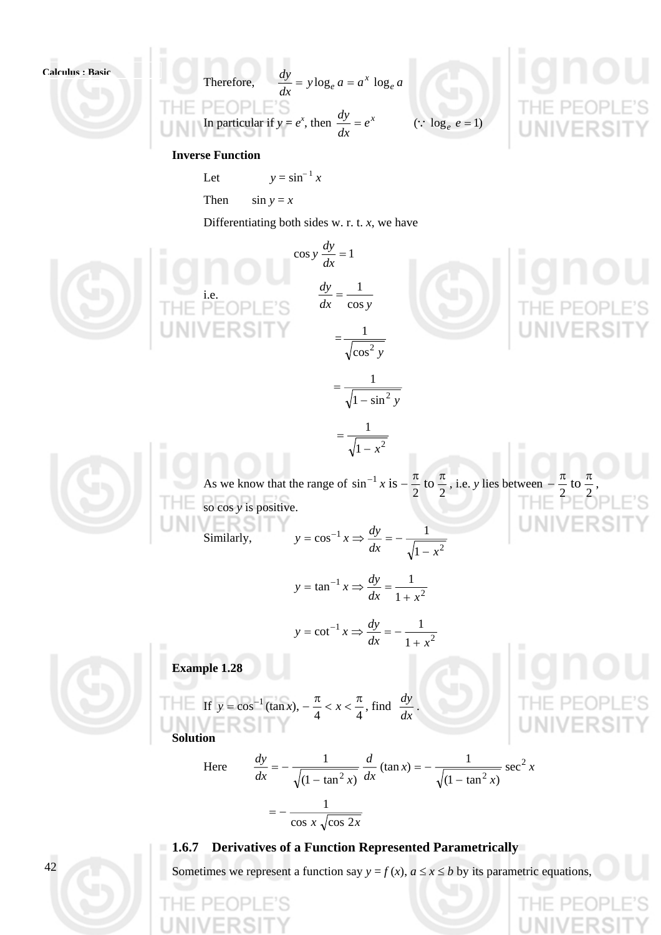

42

Therefore,  $\frac{dy}{dx} = y \log_e a = a^x \log_e a$ In particular if  $y = e^x$ , then  $\frac{dy}{dx} = e^x$ *dx*



### **Inverse Function**

Let  $y = \sin^{-1} x$ 

Then  $\sin y = x$ 

Differentiating both sides w. r. t. *x*, we have



**1.6.7 Derivatives of a Function Represented Parametrically** 

Sometimes we represent a function say  $y = f(x)$ ,  $a \le x \le b$  by its parametric equations,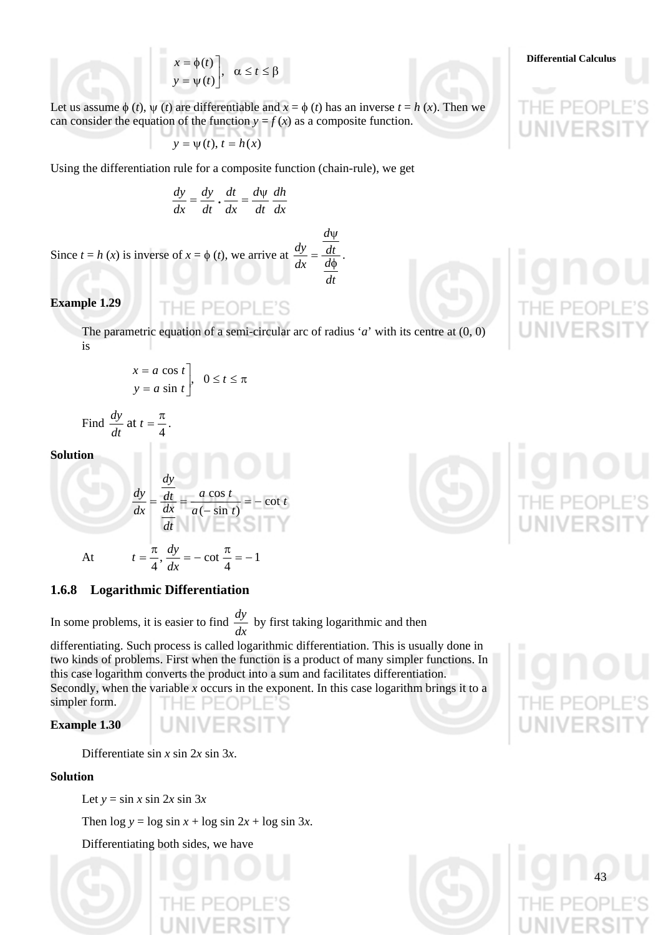$$
\begin{aligned}\nx &= \phi(t) \\
y &= \psi(t)\n\end{aligned}, \quad \alpha \le t \le \beta
$$

Let us assume  $\phi(t)$ ,  $\psi(t)$  are differentiable and  $x = \phi(t)$  has an inverse  $t = h(x)$ . Then we can consider the equation of the function  $y = f(x)$  as a composite function.

$$
y = \psi(t), t = h(x)
$$

Using the differentiation rule for a composite function (chain-rule), we get

$$
\frac{dy}{dx} = \frac{dy}{dt} \cdot \frac{dt}{dx} = \frac{d\psi}{dt} \frac{dh}{dx}
$$

THE PEOPLE'S

Since  $t = h(x)$  is inverse of  $x = \phi(t)$ , we arrive at *d dt dx dy*  $=\frac{at}{d\phi}$ .

#### **Example 1.29**

The parametric equation of a semi-circular arc of radius '*a*' with its centre at (0, 0) is

*dt*

*d*

ψ

$$
\begin{aligned}\nx &= a \cos t \\
y &= a \sin t\n\end{aligned}, \quad 0 \le t \le \pi
$$

Find 
$$
\frac{dy}{dt}
$$
 at  $t = \frac{\pi}{4}$ .

**Solution** 

$$
\frac{dy}{dx} = \frac{\frac{dy}{dt}}{\frac{dx}{dt}} = \frac{a \cos t}{a(-\sin t)} = -\cot t
$$
\n
$$
t = \frac{\pi}{2}, \frac{dy}{dt} = -\cot \frac{\pi}{2} = -1
$$

At 
$$
t = \frac{\pi}{4}, \frac{dy}{dx} = -\cot \frac{\pi}{4} = -1
$$

### **1.6.8 Logarithmic Differentiation**

In some problems, it is easier to find  $\frac{dy}{dx}$  by first taking logarithmic and then

differentiating. Such process is called logarithmic differentiation. This is usually done in two kinds of problems. First when the function is a product of many simpler functions. In this case logarithm converts the product into a sum and facilitates differentiation. Secondly, when the variable  $x$  occurs in the exponent. In this case logarithm brings it to a simpler form.

#### **Example 1.30**

Differentiate sin *x* sin 2*x* sin 3*x*.

#### **Solution**

Let  $y = \sin x \sin 2x \sin 3x$ 

Then  $\log y = \log \sin x + \log \sin 2x + \log \sin 3x$ .

Differentiating both sides, we have







43





**Differential Calculus**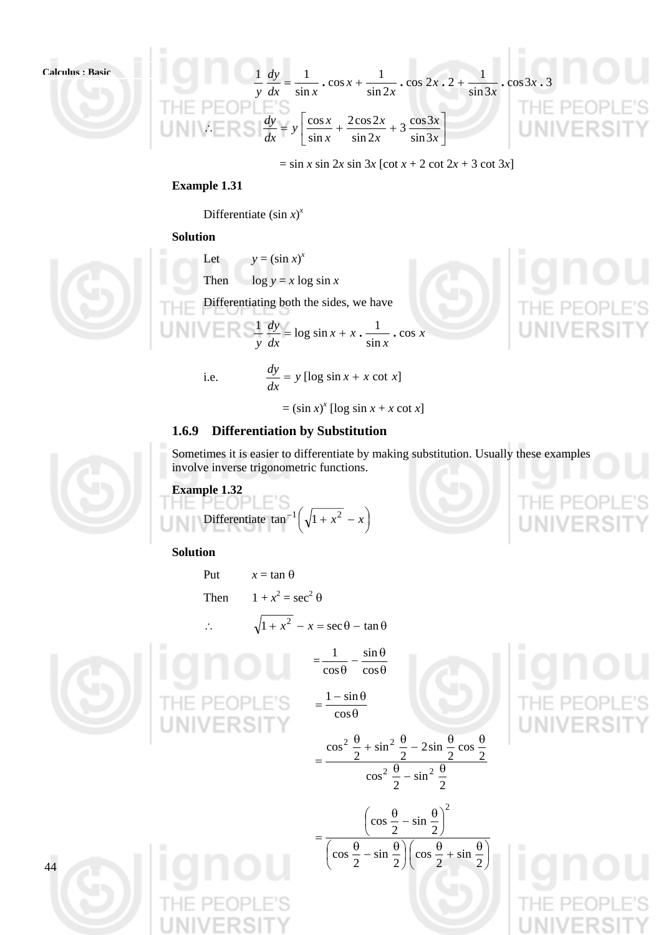



 $=$  sin *x* sin 2*x* sin 3*x* [cot *x* + 2 cot 2*x* + 3 cot 3*x*]

#### **Example 1.31**

Differentiate  $(\sin x)^x$ 

#### **Solution**



Let  $y = (\sin x)^x$ Then  $\log y = x \log \sin x$ Differentiating both the sides, we have  $\frac{1}{x}$   $\frac{dy}{dx}$  = log sin x + x  $\frac{1}{x}$  . cos x *x*  $x + x$ *dx dy y* cos sin  $\frac{1}{x} \frac{dy}{dx} = \log \sin x + x \cdot \frac{1}{x}$ .

i.e. 
$$
\frac{dy}{dx} = y [\log \sin x + x \cot x]
$$

 $= (\sin x)^x$  [log  $\sin x + x \cot x$ ]

 $\tan^{-1}(\sqrt{1+x^2} - x)$ 

1

=

# **1.6.9 Differentiation by Substitution**

Sometimes it is easier to differentiate by making substitution. Usually these examples involve inverse trigonometric functions.

# Differentiate  $\tan^{-1}\left(\sqrt{1+x^2}-x\right)$

**Example 1.32** 



Put  $x = \tan \theta$ Then  $1 + x^2 = \sec^2 \theta$ ∴  $\sqrt{1 + x^2} - x = \sec \theta - \tan \theta$ 



44



cos  $2\sin$ sin cos 2  $\sigma$   $\sin^2$ + θ

$$
\frac{\cos^2\frac{\theta}{2} + \sin^2\frac{\theta}{2} - 2\sin\frac{\theta}{2}\cos\frac{\theta}{2}}{\cos^2\frac{\theta}{2} - \sin^2\frac{\theta}{2}}
$$

$$
= \frac{\left(\cos\frac{\theta}{2} - \sin\frac{\theta}{2}\right)^2}{\left(\cos\frac{\theta}{2} - \sin\frac{\theta}{2}\right)\left(\cos\frac{\theta}{2} + \sin\frac{\theta}{2}\right)}
$$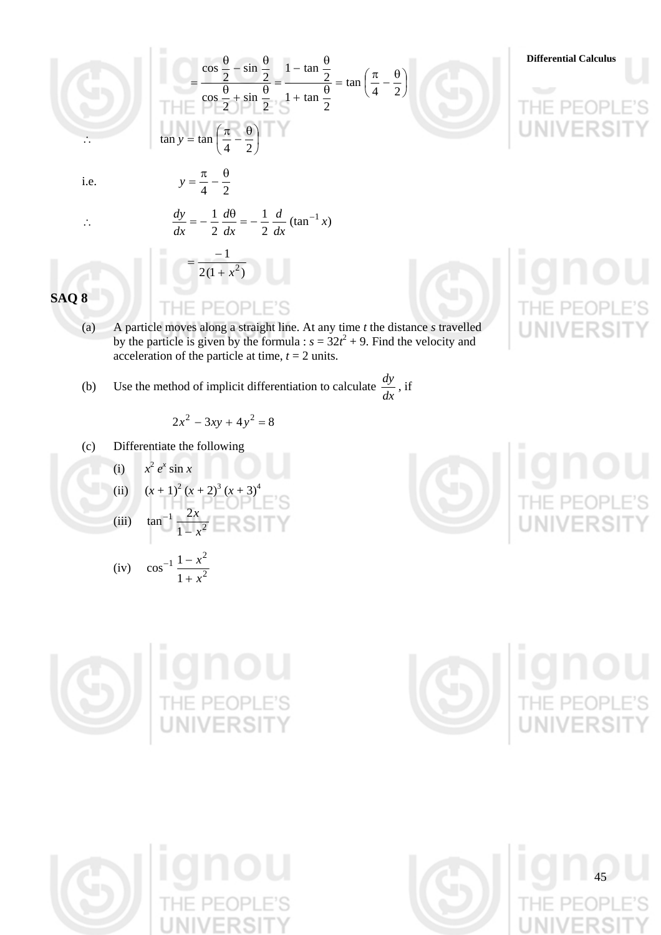

- (a) A particle moves along a straight line. At any time *t* the distance *s* travelled by the particle is given by the formula :  $s = 32t^2 + 9$ . Find the velocity and acceleration of the particle at time,  $t = 2$  units.
- (b) Use the method of implicit differentiation to calculate  $\frac{dy}{dx}$ , if

$$
2x^2 - 3xy + 4y^2 = 8
$$

- (c) Differentiate the following
	- (i) *x*  $e^x$  sin *x*
	- (ii)  $(x+1)^2 (x+2)^3 (x+3)^4$

(iii) 
$$
\tan^{-1} \frac{2x}{1 - x^2}
$$

(iv) 
$$
\cos^{-1} \frac{1 - x^2}{1 + x^2}
$$









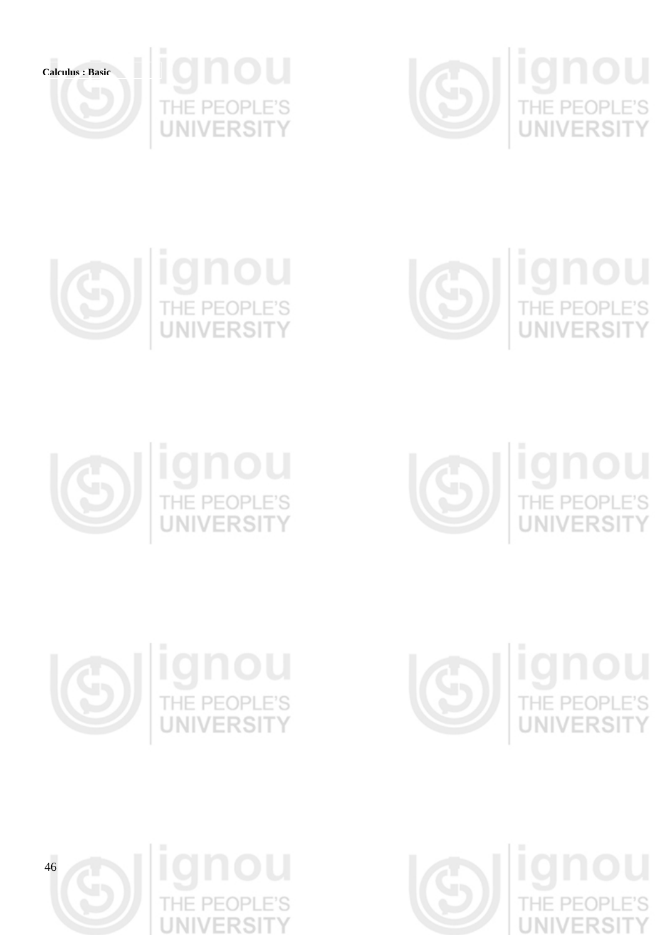





















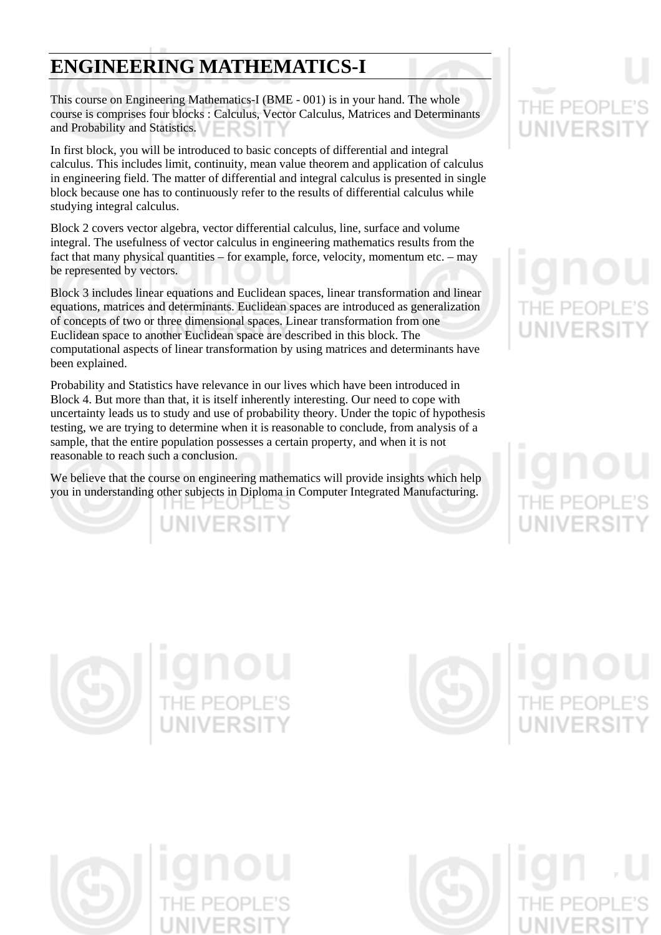# **ENGINEERING MATHEMATICS-I**

This course on Engineering Mathematics-I (BME - 001) is in your hand. The whole course is comprises four blocks : Calculus, Vector Calculus, Matrices and Determinants and Probability and Statistics.

In first block, you will be introduced to basic concepts of differential and integral calculus. This includes limit, continuity, mean value theorem and application of calculus in engineering field. The matter of differential and integral calculus is presented in single block because one has to continuously refer to the results of differential calculus while studying integral calculus.

Block 2 covers vector algebra, vector differential calculus, line, surface and volume integral. The usefulness of vector calculus in engineering mathematics results from the fact that many physical quantities – for example, force, velocity, momentum etc. – may be represented by vectors.

Block 3 includes linear equations and Euclidean spaces, linear transformation and linear equations, matrices and determinants. Euclidean spaces are introduced as generalization of concepts of two or three dimensional spaces. Linear transformation from one Euclidean space to another Euclidean space are described in this block. The computational aspects of linear transformation by using matrices and determinants have been explained.

Probability and Statistics have relevance in our lives which have been introduced in Block 4. But more than that, it is itself inherently interesting. Our need to cope with uncertainty leads us to study and use of probability theory. Under the topic of hypothesis testing, we are trying to determine when it is reasonable to conclude, from analysis of a sample, that the entire population possesses a certain property, and when it is not reasonable to reach such a conclusion.

We believe that the course on engineering mathematics will provide insights which help you in understanding other subjects in Diploma in Computer Integrated Manufacturing.





THE REORTE.2 **UNIVERSITY**